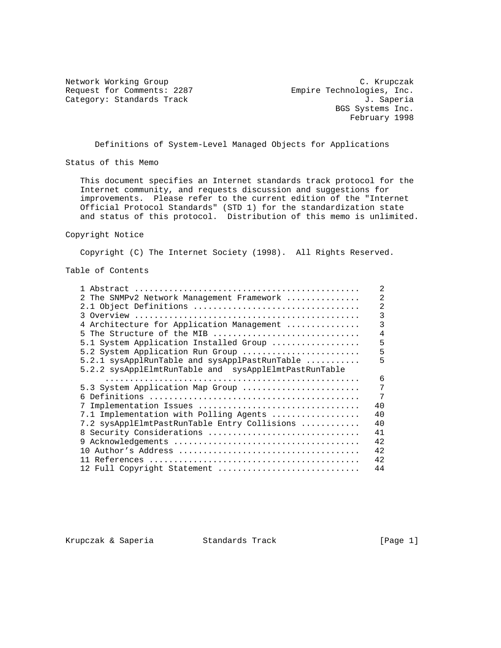Request for Comments: 2287 Empire Technologies, Inc.

Network Working Group C. Krupczak Category: Standards Track J. Saperia BGS Systems Inc. February 1998

Definitions of System-Level Managed Objects for Applications

Status of this Memo

 This document specifies an Internet standards track protocol for the Internet community, and requests discussion and suggestions for improvements. Please refer to the current edition of the "Internet Official Protocol Standards" (STD 1) for the standardization state and status of this protocol. Distribution of this memo is unlimited.

Copyright Notice

Copyright (C) The Internet Society (1998). All Rights Reserved.

Table of Contents

|                                                       | 2  |
|-------------------------------------------------------|----|
| 2 The SNMPv2 Network Management Framework             | 2  |
| 2.1 Object Definitions                                | 2  |
|                                                       | 3  |
| 4 Architecture for Application Management             | 3  |
| 5 The Structure of the MIB                            | 4  |
| 5.1 System Application Installed Group                | 5  |
| 5.2 System Application Run Group                      | 5  |
| 5.2.1 sysApplRunTable and sysApplPastRunTable         | 5  |
| 5.2.2 sysApplElmtRunTable and sysApplElmtPastRunTable |    |
|                                                       | 6  |
| 5.3 System Application Map Group                      | 7  |
|                                                       | 7  |
|                                                       | 40 |
| 7.1 Implementation with Polling Agents                | 40 |
| 7.2 sysApplElmtPastRunTable Entry Collisions          | 40 |
| Security Considerations<br>8                          | 41 |
| 9                                                     | 42 |
| 1 N                                                   | 42 |
|                                                       | 42 |
| 12 Full Copyright Statement                           | 44 |

Krupczak & Saperia Standards Track [Page 1]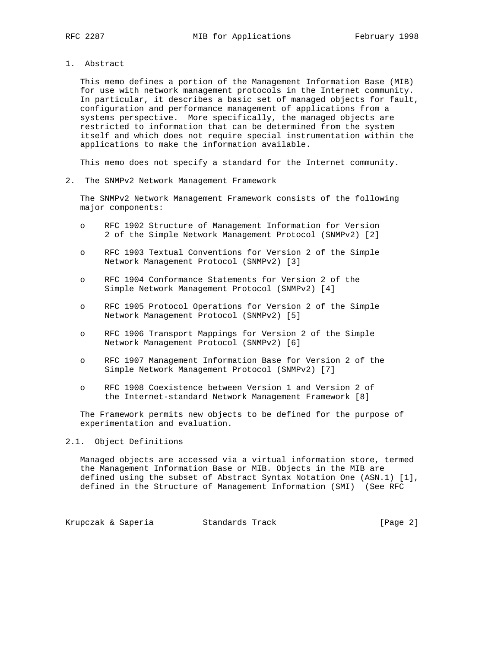- 
- 1. Abstract

 This memo defines a portion of the Management Information Base (MIB) for use with network management protocols in the Internet community. In particular, it describes a basic set of managed objects for fault, configuration and performance management of applications from a systems perspective. More specifically, the managed objects are restricted to information that can be determined from the system itself and which does not require special instrumentation within the applications to make the information available.

This memo does not specify a standard for the Internet community.

2. The SNMPv2 Network Management Framework

 The SNMPv2 Network Management Framework consists of the following major components:

- o RFC 1902 Structure of Management Information for Version 2 of the Simple Network Management Protocol (SNMPv2) [2]
- o RFC 1903 Textual Conventions for Version 2 of the Simple Network Management Protocol (SNMPv2) [3]
- o RFC 1904 Conformance Statements for Version 2 of the Simple Network Management Protocol (SNMPv2) [4]
- o RFC 1905 Protocol Operations for Version 2 of the Simple Network Management Protocol (SNMPv2) [5]
- o RFC 1906 Transport Mappings for Version 2 of the Simple Network Management Protocol (SNMPv2) [6]
- o RFC 1907 Management Information Base for Version 2 of the Simple Network Management Protocol (SNMPv2) [7]
- o RFC 1908 Coexistence between Version 1 and Version 2 of the Internet-standard Network Management Framework [8]

 The Framework permits new objects to be defined for the purpose of experimentation and evaluation.

#### 2.1. Object Definitions

 Managed objects are accessed via a virtual information store, termed the Management Information Base or MIB. Objects in the MIB are defined using the subset of Abstract Syntax Notation One (ASN.1) [1], defined in the Structure of Management Information (SMI) (See RFC

Krupczak & Saperia Standards Track (Page 2)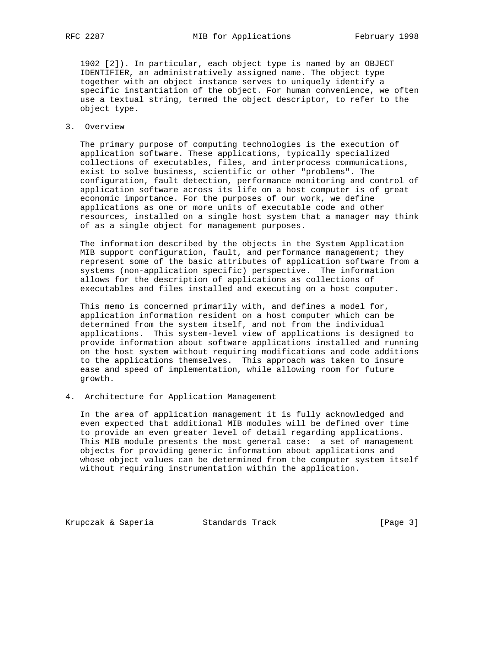1902 [2]). In particular, each object type is named by an OBJECT IDENTIFIER, an administratively assigned name. The object type together with an object instance serves to uniquely identify a specific instantiation of the object. For human convenience, we often use a textual string, termed the object descriptor, to refer to the object type.

3. Overview

 The primary purpose of computing technologies is the execution of application software. These applications, typically specialized collections of executables, files, and interprocess communications, exist to solve business, scientific or other "problems". The configuration, fault detection, performance monitoring and control of application software across its life on a host computer is of great economic importance. For the purposes of our work, we define applications as one or more units of executable code and other resources, installed on a single host system that a manager may think of as a single object for management purposes.

 The information described by the objects in the System Application MIB support configuration, fault, and performance management; they represent some of the basic attributes of application software from a systems (non-application specific) perspective. The information allows for the description of applications as collections of executables and files installed and executing on a host computer.

 This memo is concerned primarily with, and defines a model for, application information resident on a host computer which can be determined from the system itself, and not from the individual applications. This system-level view of applications is designed to provide information about software applications installed and running on the host system without requiring modifications and code additions to the applications themselves. This approach was taken to insure ease and speed of implementation, while allowing room for future growth.

4. Architecture for Application Management

 In the area of application management it is fully acknowledged and even expected that additional MIB modules will be defined over time to provide an even greater level of detail regarding applications. This MIB module presents the most general case: a set of management objects for providing generic information about applications and whose object values can be determined from the computer system itself without requiring instrumentation within the application.

Krupczak & Saperia Standards Track [Page 3]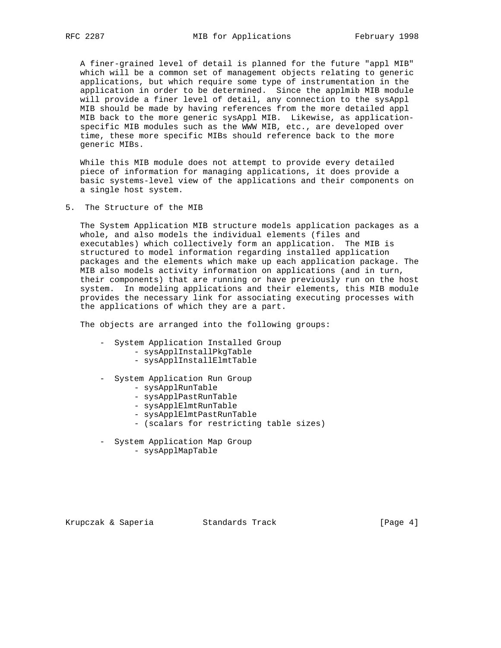A finer-grained level of detail is planned for the future "appl MIB" which will be a common set of management objects relating to generic applications, but which require some type of instrumentation in the application in order to be determined. Since the applmib MIB module will provide a finer level of detail, any connection to the sysAppl MIB should be made by having references from the more detailed appl MIB back to the more generic sysAppl MIB. Likewise, as application specific MIB modules such as the WWW MIB, etc., are developed over time, these more specific MIBs should reference back to the more generic MIBs.

 While this MIB module does not attempt to provide every detailed piece of information for managing applications, it does provide a basic systems-level view of the applications and their components on a single host system.

5. The Structure of the MIB

 The System Application MIB structure models application packages as a whole, and also models the individual elements (files and executables) which collectively form an application. The MIB is structured to model information regarding installed application packages and the elements which make up each application package. The MIB also models activity information on applications (and in turn, their components) that are running or have previously run on the host system. In modeling applications and their elements, this MIB module provides the necessary link for associating executing processes with the applications of which they are a part.

The objects are arranged into the following groups:

- System Application Installed Group
	- sysApplInstallPkgTable
	- sysApplInstallElmtTable
- System Application Run Group
	- sysApplRunTable
	- sysApplPastRunTable
	- sysApplElmtRunTable
	- sysApplElmtPastRunTable
	- (scalars for restricting table sizes)
- System Application Map Group
	- sysApplMapTable

Krupczak & Saperia Standards Track [Page 4]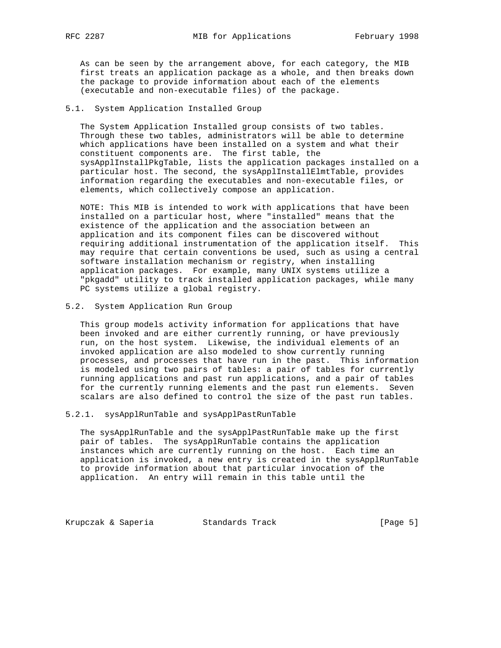As can be seen by the arrangement above, for each category, the MIB first treats an application package as a whole, and then breaks down the package to provide information about each of the elements (executable and non-executable files) of the package.

## 5.1. System Application Installed Group

 The System Application Installed group consists of two tables. Through these two tables, administrators will be able to determine which applications have been installed on a system and what their constituent components are. The first table, the sysApplInstallPkgTable, lists the application packages installed on a particular host. The second, the sysApplInstallElmtTable, provides information regarding the executables and non-executable files, or elements, which collectively compose an application.

 NOTE: This MIB is intended to work with applications that have been installed on a particular host, where "installed" means that the existence of the application and the association between an application and its component files can be discovered without requiring additional instrumentation of the application itself. This may require that certain conventions be used, such as using a central software installation mechanism or registry, when installing application packages. For example, many UNIX systems utilize a "pkgadd" utility to track installed application packages, while many PC systems utilize a global registry.

#### 5.2. System Application Run Group

 This group models activity information for applications that have been invoked and are either currently running, or have previously run, on the host system. Likewise, the individual elements of an invoked application are also modeled to show currently running processes, and processes that have run in the past. This information is modeled using two pairs of tables: a pair of tables for currently running applications and past run applications, and a pair of tables for the currently running elements and the past run elements. Seven scalars are also defined to control the size of the past run tables.

### 5.2.1. sysApplRunTable and sysApplPastRunTable

 The sysApplRunTable and the sysApplPastRunTable make up the first pair of tables. The sysApplRunTable contains the application instances which are currently running on the host. Each time an application is invoked, a new entry is created in the sysApplRunTable to provide information about that particular invocation of the application. An entry will remain in this table until the

Krupczak & Saperia Standards Track (Page 5)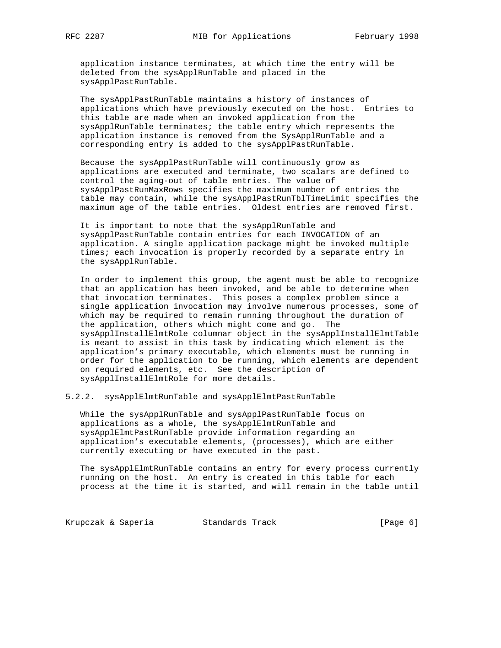application instance terminates, at which time the entry will be deleted from the sysApplRunTable and placed in the sysApplPastRunTable.

 The sysApplPastRunTable maintains a history of instances of applications which have previously executed on the host. Entries to this table are made when an invoked application from the sysApplRunTable terminates; the table entry which represents the application instance is removed from the SysApplRunTable and a corresponding entry is added to the sysApplPastRunTable.

 Because the sysApplPastRunTable will continuously grow as applications are executed and terminate, two scalars are defined to control the aging-out of table entries. The value of sysApplPastRunMaxRows specifies the maximum number of entries the table may contain, while the sysApplPastRunTblTimeLimit specifies the maximum age of the table entries. Oldest entries are removed first.

 It is important to note that the sysApplRunTable and sysApplPastRunTable contain entries for each INVOCATION of an application. A single application package might be invoked multiple times; each invocation is properly recorded by a separate entry in the sysApplRunTable.

 In order to implement this group, the agent must be able to recognize that an application has been invoked, and be able to determine when that invocation terminates. This poses a complex problem since a single application invocation may involve numerous processes, some of which may be required to remain running throughout the duration of the application, others which might come and go. The sysApplInstallElmtRole columnar object in the sysApplInstallElmtTable is meant to assist in this task by indicating which element is the application's primary executable, which elements must be running in order for the application to be running, which elements are dependent on required elements, etc. See the description of sysApplInstallElmtRole for more details.

5.2.2. sysApplElmtRunTable and sysApplElmtPastRunTable

 While the sysApplRunTable and sysApplPastRunTable focus on applications as a whole, the sysApplElmtRunTable and sysApplElmtPastRunTable provide information regarding an application's executable elements, (processes), which are either currently executing or have executed in the past.

 The sysApplElmtRunTable contains an entry for every process currently running on the host. An entry is created in this table for each process at the time it is started, and will remain in the table until

Krupczak & Saperia Standards Track [Page 6]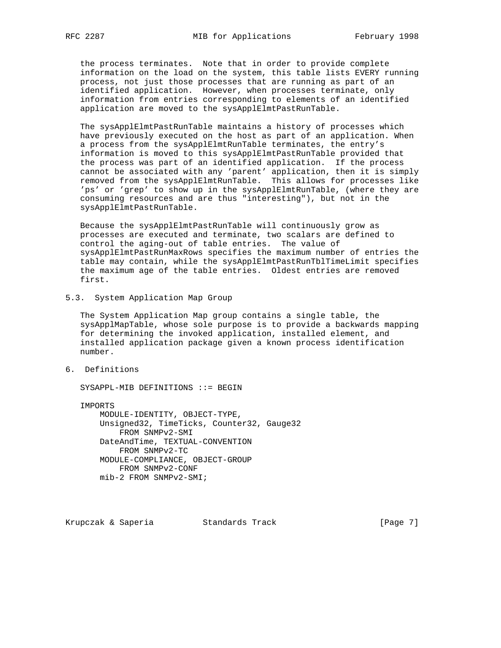the process terminates. Note that in order to provide complete information on the load on the system, this table lists EVERY running process, not just those processes that are running as part of an identified application. However, when processes terminate, only information from entries corresponding to elements of an identified application are moved to the sysApplElmtPastRunTable.

 The sysApplElmtPastRunTable maintains a history of processes which have previously executed on the host as part of an application. When a process from the sysApplElmtRunTable terminates, the entry's information is moved to this sysApplElmtPastRunTable provided that the process was part of an identified application. If the process cannot be associated with any 'parent' application, then it is simply removed from the sysApplElmtRunTable. This allows for processes like 'ps' or 'grep' to show up in the sysApplElmtRunTable, (where they are consuming resources and are thus "interesting"), but not in the sysApplElmtPastRunTable.

 Because the sysApplElmtPastRunTable will continuously grow as processes are executed and terminate, two scalars are defined to control the aging-out of table entries. The value of sysApplElmtPastRunMaxRows specifies the maximum number of entries the table may contain, while the sysApplElmtPastRunTblTimeLimit specifies the maximum age of the table entries. Oldest entries are removed first.

## 5.3. System Application Map Group

 The System Application Map group contains a single table, the sysApplMapTable, whose sole purpose is to provide a backwards mapping for determining the invoked application, installed element, and installed application package given a known process identification number.

6. Definitions

SYSAPPL-MIB DEFINITIONS ::= BEGIN

IMPORTS

 MODULE-IDENTITY, OBJECT-TYPE, Unsigned32, TimeTicks, Counter32, Gauge32 FROM SNMPv2-SMI DateAndTime, TEXTUAL-CONVENTION FROM SNMPv2-TC MODULE-COMPLIANCE, OBJECT-GROUP FROM SNMPv2-CONF mib-2 FROM SNMPv2-SMI;

Krupczak & Saperia Standards Track [Page 7]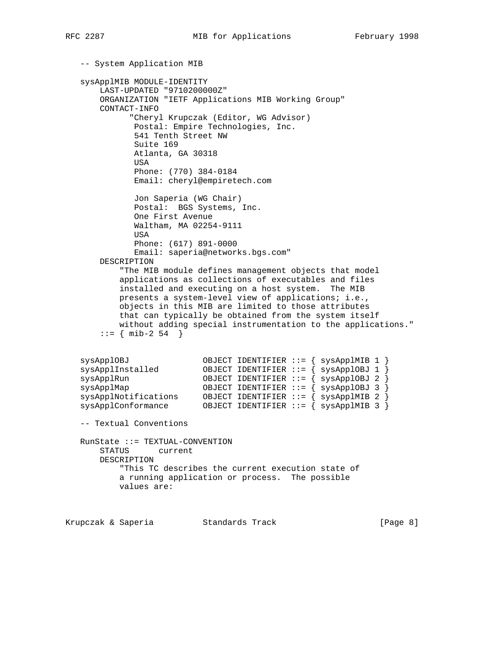```
 -- System Application MIB
   sysApplMIB MODULE-IDENTITY
       LAST-UPDATED "9710200000Z"
       ORGANIZATION "IETF Applications MIB Working Group"
       CONTACT-INFO
             "Cheryl Krupczak (Editor, WG Advisor)
              Postal: Empire Technologies, Inc.
              541 Tenth Street NW
              Suite 169
              Atlanta, GA 30318
              USA
              Phone: (770) 384-0184
              Email: cheryl@empiretech.com
              Jon Saperia (WG Chair)
              Postal: BGS Systems, Inc.
              One First Avenue
              Waltham, MA 02254-9111
              USA
              Phone: (617) 891-0000
              Email: saperia@networks.bgs.com"
       DESCRIPTION
           "The MIB module defines management objects that model
           applications as collections of executables and files
           installed and executing on a host system. The MIB
           presents a system-level view of applications; i.e.,
           objects in this MIB are limited to those attributes
           that can typically be obtained from the system itself
           without adding special instrumentation to the applications."
      ::= \{ \text{mib-2 54 } \} sysApplOBJ OBJECT IDENTIFIER ::= { sysApplMIB 1 }
 sysApplInstalled OBJECT IDENTIFIER ::= { sysApplOBJ 1 }
 sysApplRun OBJECT IDENTIFIER ::= { sysApplOBJ 2 }
 sysApplMap OBJECT IDENTIFIER ::= { sysApplOBJ 3 }
 sysApplNotifications OBJECT IDENTIFIER ::= { sysApplMIB 2 }
 sysApplConformance OBJECT IDENTIFIER ::= { sysApplMIB 3 }
   -- Textual Conventions
   RunState ::= TEXTUAL-CONVENTION
       STATUS current
       DESCRIPTION
           "This TC describes the current execution state of
           a running application or process. The possible
           values are:
```
Krupczak & Saperia Standards Track (Page 8)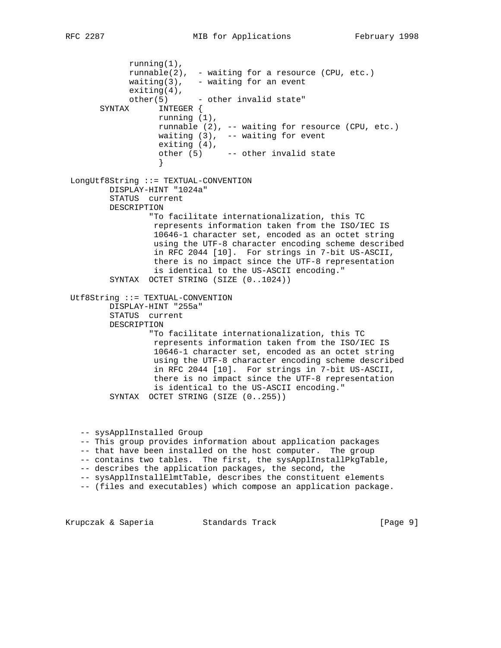running(1), runnable(2), - waiting for a resource (CPU, etc.) waiting(3),  $-$  waiting for an event exiting(4),  $other(5)$  - other invalid state" SYNTAX INTEGER { running (1), runnable (2), -- waiting for resource (CPU, etc.) waiting  $(3)$ , -- waiting for event exiting (4), other (5) -- other invalid state } LongUtf8String ::= TEXTUAL-CONVENTION DISPLAY-HINT "1024a" STATUS current DESCRIPTION "To facilitate internationalization, this TC represents information taken from the ISO/IEC IS 10646-1 character set, encoded as an octet string using the UTF-8 character encoding scheme described in RFC 2044 [10]. For strings in 7-bit US-ASCII, there is no impact since the UTF-8 representation is identical to the US-ASCII encoding." SYNTAX OCTET STRING (SIZE (0..1024)) Utf8String ::= TEXTUAL-CONVENTION DISPLAY-HINT "255a" STATUS current DESCRIPTION "To facilitate internationalization, this TC represents information taken from the ISO/IEC IS 10646-1 character set, encoded as an octet string using the UTF-8 character encoding scheme described in RFC 2044 [10]. For strings in 7-bit US-ASCII, there is no impact since the UTF-8 representation is identical to the US-ASCII encoding." SYNTAX OCTET STRING (SIZE (0..255)) -- sysApplInstalled Group -- This group provides information about application packages -- that have been installed on the host computer. The group -- contains two tables. The first, the sysApplInstallPkgTable, -- describes the application packages, the second, the -- sysApplInstallElmtTable, describes the constituent elements -- (files and executables) which compose an application package.

Krupczak & Saperia Standards Track (Page 9)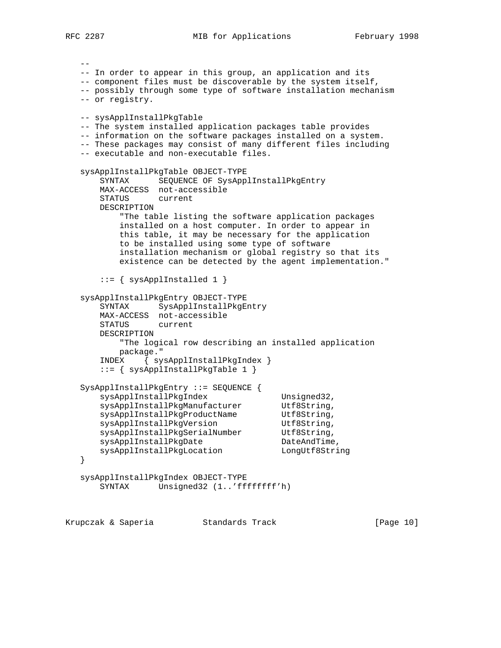RFC 2287 MIB for Applications February 1998

 -- -- In order to appear in this group, an application and its -- component files must be discoverable by the system itself, -- possibly through some type of software installation mechanism -- or registry. -- sysApplInstallPkgTable -- The system installed application packages table provides -- information on the software packages installed on a system. -- These packages may consist of many different files including -- executable and non-executable files. sysApplInstallPkgTable OBJECT-TYPE SYNTAX SEQUENCE OF SysApplInstallPkgEntry MAX-ACCESS not-accessible STATUS current DESCRIPTION "The table listing the software application packages installed on a host computer. In order to appear in this table, it may be necessary for the application to be installed using some type of software installation mechanism or global registry so that its existence can be detected by the agent implementation." ::= { sysApplInstalled 1 } sysApplInstallPkgEntry OBJECT-TYPE SYNTAX SysApplInstallPkgEntry MAX-ACCESS not-accessible STATUS current DESCRIPTION "The logical row describing an installed application package." INDEX { sysApplInstallPkgIndex } ::= { sysApplInstallPkgTable 1 } SysApplInstallPkgEntry ::= SEQUENCE { sysApplInstallPkgIndex Unsigned32, sysApplInstallPkgManufacturer Utf8String, sysApplInstallPkgProductName Utf8String, sysApplInstallPkgVersion butf8String, sysApplInstallPkgSerialNumber Utf8String, sysApplInstallPkgDate DateAndTime, sysApplInstallPkgLocation LongUtf8String } sysApplInstallPkgIndex OBJECT-TYPE SYNTAX Unsigned32 (1..'ffffffff'h)

Krupczak & Saperia Standards Track [Page 10]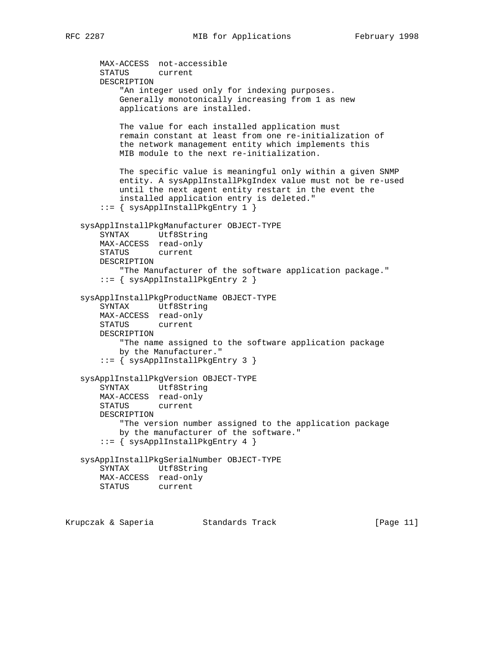```
 MAX-ACCESS not-accessible
       STATUS current
       DESCRIPTION
            "An integer used only for indexing purposes.
           Generally monotonically increasing from 1 as new
           applications are installed.
           The value for each installed application must
           remain constant at least from one re-initialization of
            the network management entity which implements this
           MIB module to the next re-initialization.
           The specific value is meaningful only within a given SNMP
            entity. A sysApplInstallPkgIndex value must not be re-used
           until the next agent entity restart in the event the
            installed application entry is deleted."
        ::= { sysApplInstallPkgEntry 1 }
    sysApplInstallPkgManufacturer OBJECT-TYPE
        SYNTAX Utf8String
       MAX-ACCESS read-only
       STATUS current
       DESCRIPTION
            "The Manufacturer of the software application package."
        ::= { sysApplInstallPkgEntry 2 }
    sysApplInstallPkgProductName OBJECT-TYPE
        SYNTAX Utf8String
       MAX-ACCESS read-only
       STATUS current
       DESCRIPTION
           "The name assigned to the software application package
           by the Manufacturer."
        ::= { sysApplInstallPkgEntry 3 }
    sysApplInstallPkgVersion OBJECT-TYPE
       SYNTAX Utf8String
       MAX-ACCESS read-only
       STATUS current
       DESCRIPTION
            "The version number assigned to the application package
           by the manufacturer of the software."
        ::= { sysApplInstallPkgEntry 4 }
    sysApplInstallPkgSerialNumber OBJECT-TYPE
       SYNTAX Utf8String
       MAX-ACCESS read-only
       STATUS current
Krupczak & Saperia             Standards Track                     [Page 11]
```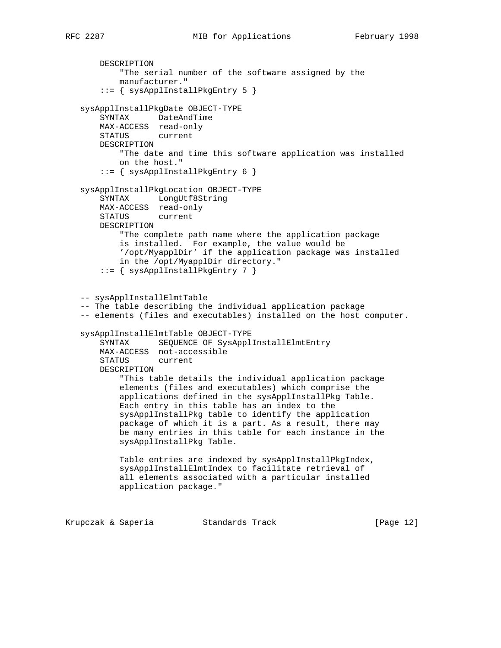```
 DESCRIPTION
         "The serial number of the software assigned by the
         manufacturer."
     ::= { sysApplInstallPkgEntry 5 }
 sysApplInstallPkgDate OBJECT-TYPE
     SYNTAX DateAndTime
    MAX-ACCESS read-only
    STATUS current
    DESCRIPTION
         "The date and time this software application was installed
        on the host."
     ::= { sysApplInstallPkgEntry 6 }
 sysApplInstallPkgLocation OBJECT-TYPE
     SYNTAX LongUtf8String
   MAX-ACCESS read-only<br>STATUS current
   STATUS
    DESCRIPTION
         "The complete path name where the application package
         is installed. For example, the value would be
         '/opt/MyapplDir' if the application package was installed
         in the /opt/MyapplDir directory."
     ::= { sysApplInstallPkgEntry 7 }
 -- sysApplInstallElmtTable
 -- The table describing the individual application package
 -- elements (files and executables) installed on the host computer.
 sysApplInstallElmtTable OBJECT-TYPE
    SYNTAX SEQUENCE OF SysApplInstallElmtEntry
    MAX-ACCESS not-accessible
    STATUS current
    DESCRIPTION
         "This table details the individual application package
         elements (files and executables) which comprise the
         applications defined in the sysApplInstallPkg Table.
         Each entry in this table has an index to the
         sysApplInstallPkg table to identify the application
         package of which it is a part. As a result, there may
         be many entries in this table for each instance in the
         sysApplInstallPkg Table.
         Table entries are indexed by sysApplInstallPkgIndex,
         sysApplInstallElmtIndex to facilitate retrieval of
         all elements associated with a particular installed
         application package."
```
Krupczak & Saperia Standards Track [Page 12]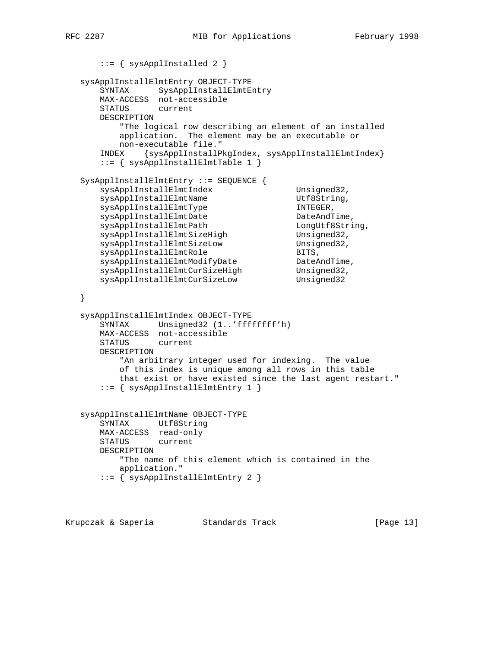```
 ::= { sysApplInstalled 2 }
   sysApplInstallElmtEntry OBJECT-TYPE
       SYNTAX SysApplInstallElmtEntry
      MAX-ACCESS not-accessible
      STATUS current
      DESCRIPTION
          "The logical row describing an element of an installed
          application. The element may be an executable or
          non-executable file."
       INDEX {sysApplInstallPkgIndex, sysApplInstallElmtIndex}
       ::= { sysApplInstallElmtTable 1 }
   SysApplInstallElmtEntry ::= SEQUENCE {
     sysApplInstallElmtIndex Unsigned32,
sysApplInstallElmtName Utf8String,
sysApplInstallElmtType INTEGER,
sysApplInstallElmtDate and DateAndTime,
     sysApplInstallElmtPath LongUtf8String,
sysApplInstallElmtSizeHigh Unsigned32,
sysApplInstallElmtSizeLow Unsigned32,
sysApplInstallElmtRole extending the BITS,
sysApplInstallElmtModifyDate DateAndTime,
sysApplInstallElmtCurSizeHigh Unsigned32,
sysApplInstallElmtCurSizeLow   Unsigned32
   }
   sysApplInstallElmtIndex OBJECT-TYPE
      SYNTAX Unsigned32 (1..'ffffffff'h)
      MAX-ACCESS not-accessible
      STATUS current
      DESCRIPTION
          "An arbitrary integer used for indexing. The value
          of this index is unique among all rows in this table
          that exist or have existed since the last agent restart."
       ::= { sysApplInstallElmtEntry 1 }
   sysApplInstallElmtName OBJECT-TYPE
       SYNTAX Utf8String
     MAX-ACCESS read-only<br>STATUS current
     STATUS
      DESCRIPTION
          "The name of this element which is contained in the
          application."
       ::= { sysApplInstallElmtEntry 2 }
```
Krupczak & Saperia Standards Track [Page 13]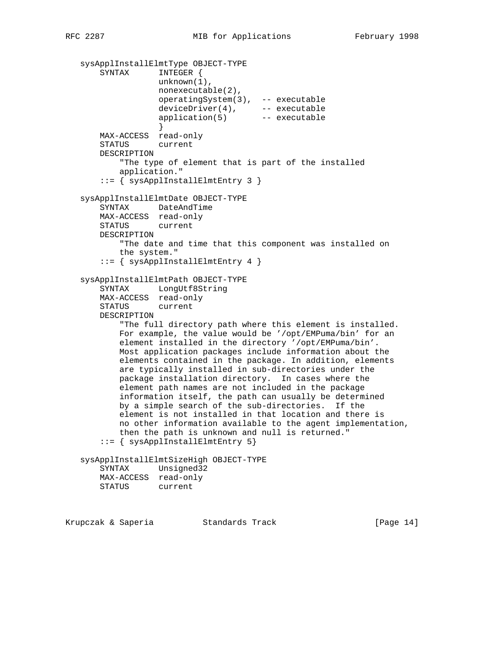```
 sysApplInstallElmtType OBJECT-TYPE
       SYNTAX INTEGER {
                  unknown(1),
                  nonexecutable(2),
                   operatingSystem(3), -- executable
 deviceDriver(4), -- executable
 application(5) -- executable
 }
       MAX-ACCESS read-only
       STATUS current
       DESCRIPTION
           "The type of element that is part of the installed
           application."
      ::= { sysApplInstallElmtEntry 3 }
   sysApplInstallElmtDate OBJECT-TYPE
       SYNTAX DateAndTime
       MAX-ACCESS read-only
       STATUS current
       DESCRIPTION
           "The date and time that this component was installed on
           the system."
      ::= { sysApplInstallElmtEntry 4 }
   sysApplInstallElmtPath OBJECT-TYPE
       SYNTAX LongUtf8String
       MAX-ACCESS read-only
       STATUS current
       DESCRIPTION
           "The full directory path where this element is installed.
           For example, the value would be '/opt/EMPuma/bin' for an
           element installed in the directory '/opt/EMPuma/bin'.
           Most application packages include information about the
           elements contained in the package. In addition, elements
           are typically installed in sub-directories under the
           package installation directory. In cases where the
           element path names are not included in the package
           information itself, the path can usually be determined
           by a simple search of the sub-directories. If the
           element is not installed in that location and there is
           no other information available to the agent implementation,
           then the path is unknown and null is returned."
       ::= { sysApplInstallElmtEntry 5}
   sysApplInstallElmtSizeHigh OBJECT-TYPE
       SYNTAX Unsigned32
       MAX-ACCESS read-only
       STATUS current
```
Krupczak & Saperia Standards Track [Page 14]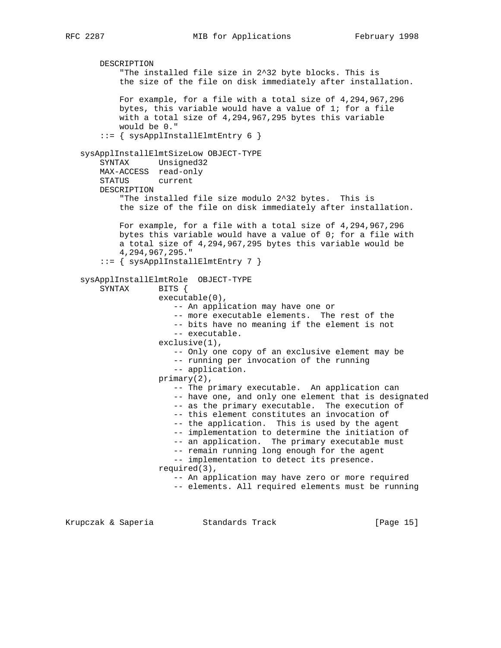DESCRIPTION "The installed file size in 2^32 byte blocks. This is the size of the file on disk immediately after installation. For example, for a file with a total size of 4,294,967,296 bytes, this variable would have a value of 1; for a file with a total size of 4,294,967,295 bytes this variable would be 0." ::= { sysApplInstallElmtEntry 6 } sysApplInstallElmtSizeLow OBJECT-TYPE SYNTAX Unsigned32 MAX-ACCESS read-only STATUS current DESCRIPTION "The installed file size modulo 2^32 bytes. This is the size of the file on disk immediately after installation. For example, for a file with a total size of 4,294,967,296 bytes this variable would have a value of 0; for a file with a total size of 4,294,967,295 bytes this variable would be 4,294,967,295."  $::=$  { sysApplInstallElmtEntry 7 } sysApplInstallElmtRole OBJECT-TYPE SYNTAX BITS { executable(0), -- An application may have one or -- more executable elements. The rest of the -- bits have no meaning if the element is not -- executable. exclusive(1), -- Only one copy of an exclusive element may be -- running per invocation of the running -- application. primary(2), -- The primary executable. An application can -- have one, and only one element that is designated -- as the primary executable. The execution of -- this element constitutes an invocation of -- the application. This is used by the agent -- implementation to determine the initiation of -- an application. The primary executable must -- remain running long enough for the agent -- implementation to detect its presence. required(3), -- An application may have zero or more required -- elements. All required elements must be running

Krupczak & Saperia Standards Track [Page 15]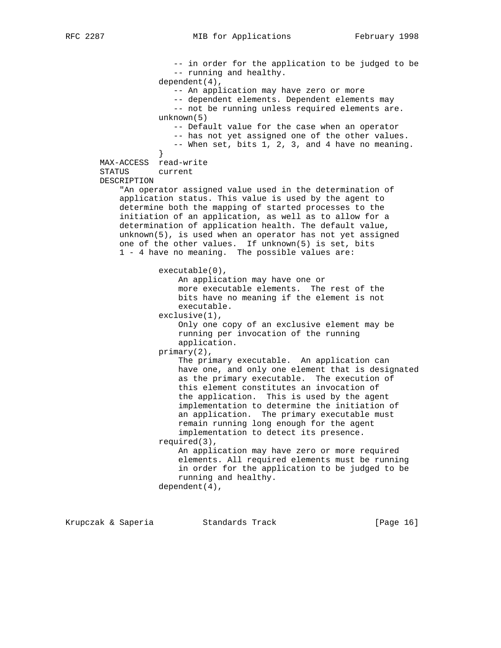-- in order for the application to be judged to be -- running and healthy. dependent(4), -- An application may have zero or more -- dependent elements. Dependent elements may -- not be running unless required elements are. unknown(5) -- Default value for the case when an operator -- has not yet assigned one of the other values. -- When set, bits 1, 2, 3, and 4 have no meaning. } MAX-ACCESS read-write STATUS current DESCRIPTION "An operator assigned value used in the determination of application status. This value is used by the agent to determine both the mapping of started processes to the initiation of an application, as well as to allow for a determination of application health. The default value, unknown(5), is used when an operator has not yet assigned one of the other values. If unknown(5) is set, bits 1 - 4 have no meaning. The possible values are: executable(0), An application may have one or more executable elements. The rest of the bits have no meaning if the element is not executable. exclusive(1), Only one copy of an exclusive element may be running per invocation of the running application. primary(2), The primary executable. An application can have one, and only one element that is designated as the primary executable. The execution of this element constitutes an invocation of the application. This is used by the agent implementation to determine the initiation of an application. The primary executable must remain running long enough for the agent implementation to detect its presence. required(3), An application may have zero or more required elements. All required elements must be running in order for the application to be judged to be running and healthy. dependent(4),

Krupczak & Saperia Standards Track [Page 16]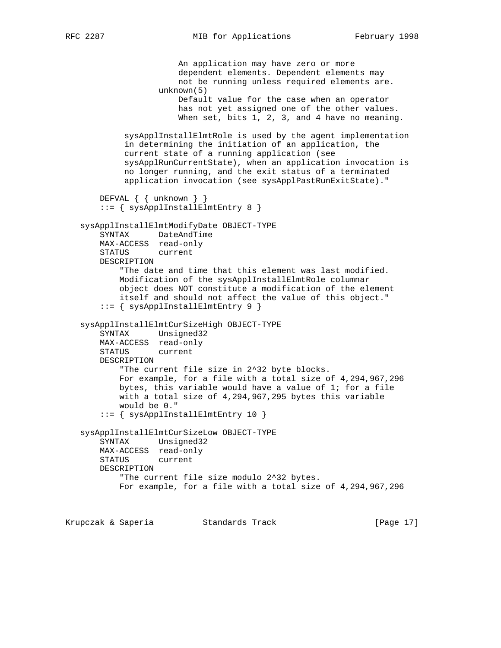An application may have zero or more dependent elements. Dependent elements may not be running unless required elements are. unknown(5) Default value for the case when an operator has not yet assigned one of the other values. When set, bits 1, 2, 3, and 4 have no meaning. sysApplInstallElmtRole is used by the agent implementation in determining the initiation of an application, the current state of a running application (see sysApplRunCurrentState), when an application invocation is no longer running, and the exit status of a terminated application invocation (see sysApplPastRunExitState)." DEFVAL { { unknown } } ::= { sysApplInstallElmtEntry 8 } sysApplInstallElmtModifyDate OBJECT-TYPE SYNTAX DateAndTime MAX-ACCESS read-only STATUS current DESCRIPTION "The date and time that this element was last modified. Modification of the sysApplInstallElmtRole columnar object does NOT constitute a modification of the element itself and should not affect the value of this object." ::= { sysApplInstallElmtEntry 9 } sysApplInstallElmtCurSizeHigh OBJECT-TYPE SYNTAX Unsigned32 MAX-ACCESS read-only STATUS current DESCRIPTION "The current file size in 2^32 byte blocks. For example, for a file with a total size of 4,294,967,296 bytes, this variable would have a value of 1; for a file with a total size of 4,294,967,295 bytes this variable would be 0." ::= { sysApplInstallElmtEntry 10 } sysApplInstallElmtCurSizeLow OBJECT-TYPE SYNTAX Unsigned32 MAX-ACCESS read-only STATUS current DESCRIPTION "The current file size modulo 2^32 bytes. For example, for a file with a total size of 4,294,967,296 Krupczak & Saperia Standards Track [Page 17]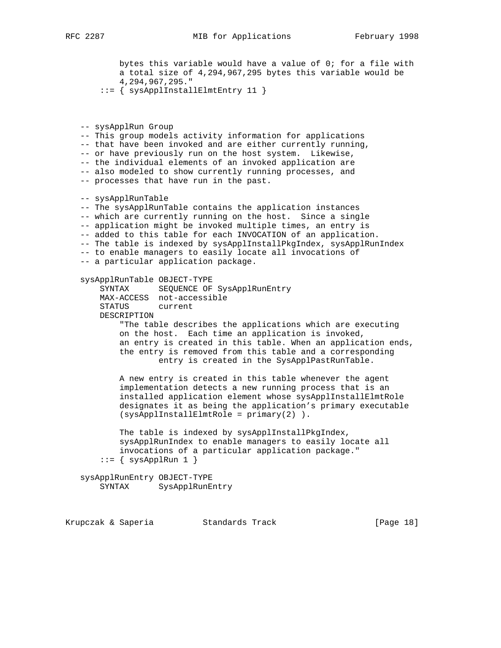bytes this variable would have a value of 0; for a file with a total size of 4,294,967,295 bytes this variable would be 4,294,967,295."

::= { sysApplInstallElmtEntry 11 }

 -- sysApplRun Group -- This group models activity information for applications -- that have been invoked and are either currently running, -- or have previously run on the host system. Likewise, -- the individual elements of an invoked application are -- also modeled to show currently running processes, and -- processes that have run in the past. -- sysApplRunTable -- The sysApplRunTable contains the application instances -- which are currently running on the host. Since a single -- application might be invoked multiple times, an entry is -- added to this table for each INVOCATION of an application. -- The table is indexed by sysApplInstallPkgIndex, sysApplRunIndex -- to enable managers to easily locate all invocations of -- a particular application package. sysApplRunTable OBJECT-TYPE SYNTAX SEQUENCE OF SysApplRunEntry MAX-ACCESS not-accessible STATUS current DESCRIPTION "The table describes the applications which are executing on the host. Each time an application is invoked, an entry is created in this table. When an application ends, the entry is removed from this table and a corresponding entry is created in the SysApplPastRunTable.

 A new entry is created in this table whenever the agent implementation detects a new running process that is an installed application element whose sysApplInstallElmtRole designates it as being the application's primary executable (sysApplInstallElmtRole = primary(2) ).

 The table is indexed by sysApplInstallPkgIndex, sysApplRunIndex to enable managers to easily locate all invocations of a particular application package."  $::=$  { sysApplRun 1 }

 sysApplRunEntry OBJECT-TYPE SYNTAX SysApplRunEntry

Krupczak & Saperia Standards Track [Page 18]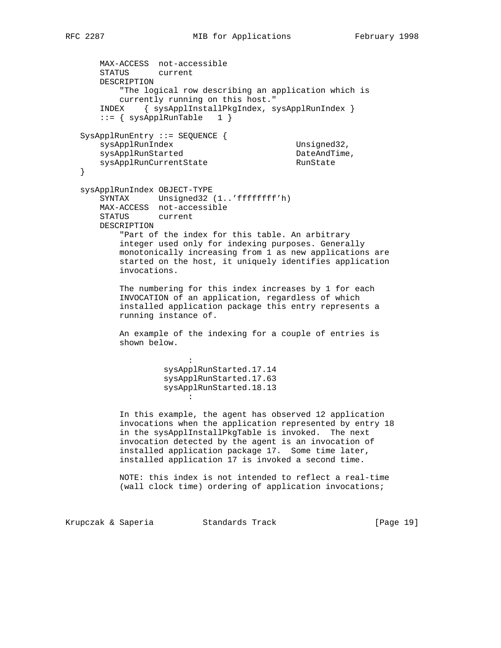```
 MAX-ACCESS not-accessible
       STATUS current
       DESCRIPTION
           "The logical row describing an application which is
           currently running on this host."
       INDEX { sysApplInstallPkgIndex, sysApplRunIndex }
      ::= \{ sysApplRunTable 1 \} SysApplRunEntry ::= SEQUENCE {
      sysApplRunIndex Unsigned32,
sysApplRunStarted DateAndTime,
sysApplRunCurrentState RunState
   }
   sysApplRunIndex OBJECT-TYPE
       SYNTAX Unsigned32 (1..'ffffffff'h)
       MAX-ACCESS not-accessible
       STATUS current
       DESCRIPTION
           "Part of the index for this table. An arbitrary
           integer used only for indexing purposes. Generally
           monotonically increasing from 1 as new applications are
           started on the host, it uniquely identifies application
           invocations.
           The numbering for this index increases by 1 for each
           INVOCATION of an application, regardless of which
           installed application package this entry represents a
           running instance of.
           An example of the indexing for a couple of entries is
           shown below.
the contract of the contract of the contract of
                    sysApplRunStarted.17.14
                    sysApplRunStarted.17.63
                    sysApplRunStarted.18.13
the contract of the contract of the contract of
           In this example, the agent has observed 12 application
           invocations when the application represented by entry 18
           in the sysApplInstallPkgTable is invoked. The next
           invocation detected by the agent is an invocation of
           installed application package 17. Some time later,
           installed application 17 is invoked a second time.
           NOTE: this index is not intended to reflect a real-time
           (wall clock time) ordering of application invocations;
```
Krupczak & Saperia Standards Track [Page 19]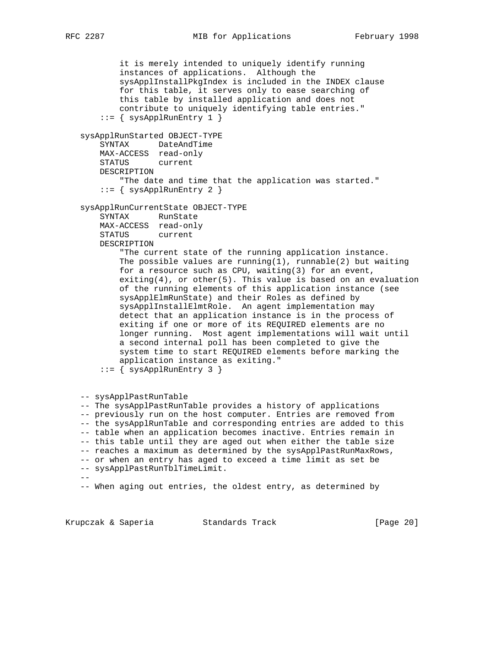```
 it is merely intended to uniquely identify running
           instances of applications. Although the
           sysApplInstallPkgIndex is included in the INDEX clause
           for this table, it serves only to ease searching of
           this table by installed application and does not
           contribute to uniquely identifying table entries."
        ::= { sysApplRunEntry 1 }
   sysApplRunStarted OBJECT-TYPE
       SYNTAX DateAndTime
       MAX-ACCESS read-only
       STATUS current
       DESCRIPTION
           "The date and time that the application was started."
       ::= { sysApplRunEntry 2 }
   sysApplRunCurrentState OBJECT-TYPE
       SYNTAX RunState
       MAX-ACCESS read-only
       STATUS current
       DESCRIPTION
           "The current state of the running application instance.
          The possible values are running(1), runnable(2) but waiting
           for a resource such as CPU, waiting(3) for an event,
           exiting(4), or other(5). This value is based on an evaluation
           of the running elements of this application instance (see
           sysApplElmRunState) and their Roles as defined by
           sysApplInstallElmtRole. An agent implementation may
           detect that an application instance is in the process of
           exiting if one or more of its REQUIRED elements are no
           longer running. Most agent implementations will wait until
           a second internal poll has been completed to give the
           system time to start REQUIRED elements before marking the
           application instance as exiting."
        ::= { sysApplRunEntry 3 }
   -- sysApplPastRunTable
   -- The sysApplPastRunTable provides a history of applications
   -- previously run on the host computer. Entries are removed from
   -- the sysApplRunTable and corresponding entries are added to this
   -- table when an application becomes inactive. Entries remain in
   -- this table until they are aged out when either the table size
   -- reaches a maximum as determined by the sysApplPastRunMaxRows,
   -- or when an entry has aged to exceed a time limit as set be
   -- sysApplPastRunTblTimeLimit.
 --
   -- When aging out entries, the oldest entry, as determined by
```
Krupczak & Saperia Standards Track [Page 20]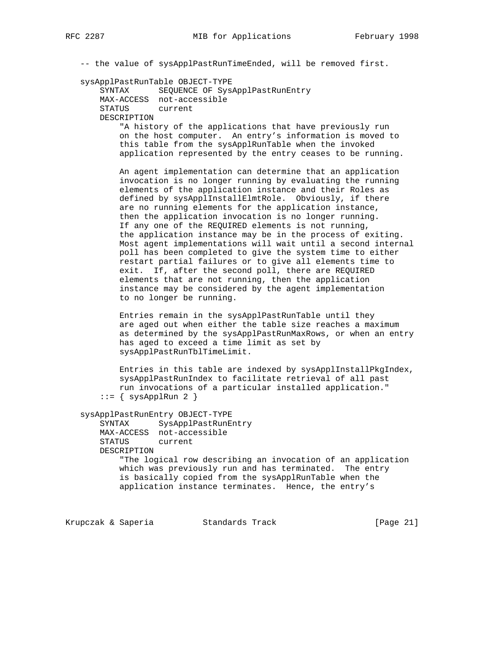-- the value of sysApplPastRunTimeEnded, will be removed first.

#### sysApplPastRunTable OBJECT-TYPE

```
 SYNTAX SEQUENCE OF SysApplPastRunEntry
 MAX-ACCESS not-accessible
 STATUS current
 DESCRIPTION
```
 "A history of the applications that have previously run on the host computer. An entry's information is moved to this table from the sysApplRunTable when the invoked application represented by the entry ceases to be running.

 An agent implementation can determine that an application invocation is no longer running by evaluating the running elements of the application instance and their Roles as defined by sysApplInstallElmtRole. Obviously, if there are no running elements for the application instance, then the application invocation is no longer running. If any one of the REQUIRED elements is not running, the application instance may be in the process of exiting. Most agent implementations will wait until a second internal poll has been completed to give the system time to either restart partial failures or to give all elements time to exit. If, after the second poll, there are REQUIRED elements that are not running, then the application instance may be considered by the agent implementation to no longer be running.

 Entries remain in the sysApplPastRunTable until they are aged out when either the table size reaches a maximum as determined by the sysApplPastRunMaxRows, or when an entry has aged to exceed a time limit as set by sysApplPastRunTblTimeLimit.

 Entries in this table are indexed by sysApplInstallPkgIndex, sysApplPastRunIndex to facilitate retrieval of all past run invocations of a particular installed application."  $::=$  { sysApplRun 2 }

sysApplPastRunEntry OBJECT-TYPE

 SYNTAX SysApplPastRunEntry MAX-ACCESS not-accessible STATUS current DESCRIPTION "The logical row describing an invocation of an application which was previously run and has terminated. The entry is basically copied from the sysApplRunTable when the application instance terminates. Hence, the entry's

Krupczak & Saperia Standards Track [Page 21]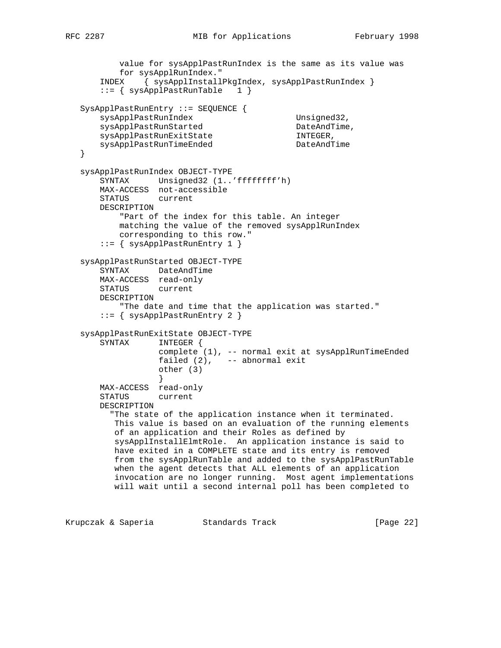```
 value for sysApplPastRunIndex is the same as its value was
           for sysApplRunIndex."
       INDEX { sysApplInstallPkgIndex, sysApplPastRunIndex }
       ::= { sysApplPastRunTable 1 }
   SysApplPastRunEntry ::= SEQUENCE {
sysApplPastRunIndex Unsigned32,
sysApplPastRunStarted DateAndTime,
sysApplPastRunExitState internal INTEGER,
sysApplPastRunTimeEnded DateAndTime
   }
   sysApplPastRunIndex OBJECT-TYPE
       SYNTAX Unsigned32 (1..'ffffffff'h)
       MAX-ACCESS not-accessible
       STATUS current
       DESCRIPTION
          "Part of the index for this table. An integer
          matching the value of the removed sysApplRunIndex
          corresponding to this row."
       ::= { sysApplPastRunEntry 1 }
   sysApplPastRunStarted OBJECT-TYPE
       SYNTAX DateAndTime
       MAX-ACCESS read-only
       STATUS current
       DESCRIPTION
           "The date and time that the application was started."
       ::= { sysApplPastRunEntry 2 }
   sysApplPastRunExitState OBJECT-TYPE
       SYNTAX INTEGER {
                  complete (1), -- normal exit at sysApplRunTimeEnded
                  failed (2), -- abnormal exit
                  other (3)
 }
       MAX-ACCESS read-only
       STATUS current
       DESCRIPTION
         "The state of the application instance when it terminated.
          This value is based on an evaluation of the running elements
          of an application and their Roles as defined by
          sysApplInstallElmtRole. An application instance is said to
          have exited in a COMPLETE state and its entry is removed
          from the sysApplRunTable and added to the sysApplPastRunTable
          when the agent detects that ALL elements of an application
          invocation are no longer running. Most agent implementations
          will wait until a second internal poll has been completed to
```
Krupczak & Saperia Standards Track (Page 22)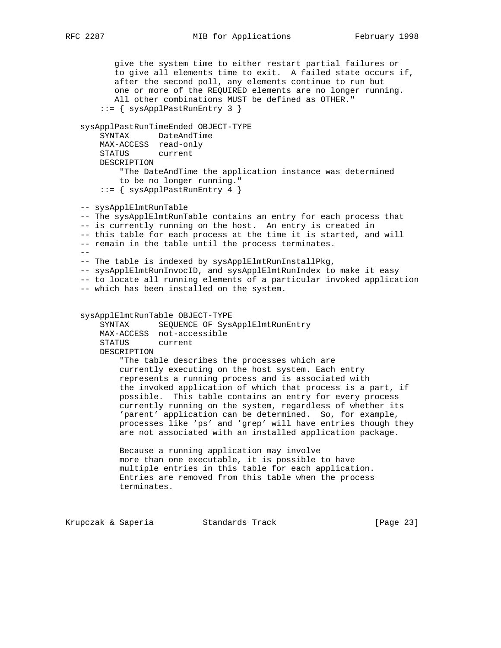give the system time to either restart partial failures or to give all elements time to exit. A failed state occurs if, after the second poll, any elements continue to run but one or more of the REQUIRED elements are no longer running. All other combinations MUST be defined as OTHER." ::= { sysApplPastRunEntry 3 } sysApplPastRunTimeEnded OBJECT-TYPE SYNTAX DateAndTime MAX-ACCESS read-only STATUS current DESCRIPTION "The DateAndTime the application instance was determined to be no longer running." ::= { sysApplPastRunEntry 4 } -- sysApplElmtRunTable -- The sysApplElmtRunTable contains an entry for each process that -- is currently running on the host. An entry is created in -- this table for each process at the time it is started, and will -- remain in the table until the process terminates.  $-$  -- The table is indexed by sysApplElmtRunInstallPkg, -- sysApplElmtRunInvocID, and sysApplElmtRunIndex to make it easy -- to locate all running elements of a particular invoked application -- which has been installed on the system. sysApplElmtRunTable OBJECT-TYPE SYNTAX SEQUENCE OF SysApplElmtRunEntry MAX-ACCESS not-accessible STATUS current DESCRIPTION "The table describes the processes which are currently executing on the host system. Each entry represents a running process and is associated with the invoked application of which that process is a part, if possible. This table contains an entry for every process currently running on the system, regardless of whether its 'parent' application can be determined. So, for example, processes like 'ps' and 'grep' will have entries though they are not associated with an installed application package. Because a running application may involve more than one executable, it is possible to have multiple entries in this table for each application. Entries are removed from this table when the process terminates. Krupczak & Saperia Standards Track [Page 23]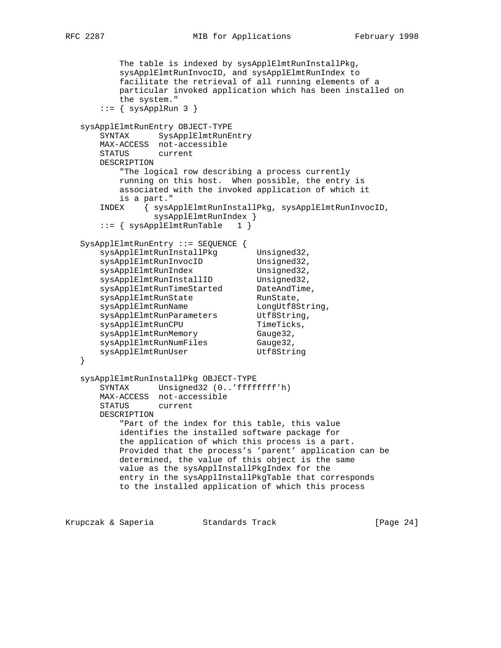The table is indexed by sysApplElmtRunInstallPkg, sysApplElmtRunInvocID, and sysApplElmtRunIndex to facilitate the retrieval of all running elements of a particular invoked application which has been installed on the system."  $::=$  { sysApplRun 3 } sysApplElmtRunEntry OBJECT-TYPE SYNTAX SysApplElmtRunEntry MAX-ACCESS not-accessible STATUS current DESCRIPTION "The logical row describing a process currently running on this host. When possible, the entry is associated with the invoked application of which it is a part." INDEX { sysApplElmtRunInstallPkg, sysApplElmtRunInvocID, sysApplElmtRunIndex } ::= { sysApplElmtRunTable 1 } SysApplElmtRunEntry ::= SEQUENCE { sysApplElmtRunInstallPkg Unsigned32,<br>sysApplElmtRunInvocID Unsigned32, sysApplElmtRunInvocID Unsigned32, sysApplElmtRunIndex Unsigned32, sysApplElmtRunInstallID Unsigned32, sysApplElmtRunTimeStarted DateAndTime, sysApplElmtRunState RunState, sysApplElmtRunName LongUtf8String, sysApplElmtRunParameters Utf8String, sysApplElmtRunCPU TimeTicks, sysApplElmtRunMemory Gauge32, sysApplElmtRunNumFiles Gauge32, sysApplElmtRunUser Utf8String } sysApplElmtRunInstallPkg OBJECT-TYPE SYNTAX Unsigned32 (0..'ffffffff'h) MAX-ACCESS not-accessible STATUS current DESCRIPTION "Part of the index for this table, this value identifies the installed software package for the application of which this process is a part. Provided that the process's 'parent' application can be determined, the value of this object is the same value as the sysApplInstallPkgIndex for the entry in the sysApplInstallPkgTable that corresponds to the installed application of which this process

Krupczak & Saperia Standards Track [Page 24]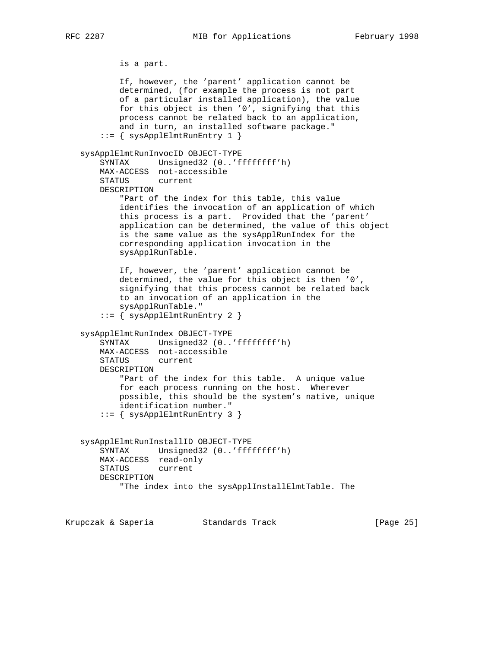```
 is a part.
            If, however, the 'parent' application cannot be
            determined, (for example the process is not part
            of a particular installed application), the value
            for this object is then '0', signifying that this
            process cannot be related back to an application,
            and in turn, an installed software package."
        ::= { sysApplElmtRunEntry 1 }
    sysApplElmtRunInvocID OBJECT-TYPE
        SYNTAX Unsigned32 (0..'ffffffff'h)
        MAX-ACCESS not-accessible
        STATUS current
        DESCRIPTION
            "Part of the index for this table, this value
            identifies the invocation of an application of which
            this process is a part. Provided that the 'parent'
            application can be determined, the value of this object
            is the same value as the sysApplRunIndex for the
            corresponding application invocation in the
            sysApplRunTable.
            If, however, the 'parent' application cannot be
            determined, the value for this object is then '0',
            signifying that this process cannot be related back
            to an invocation of an application in the
            sysApplRunTable."
        ::= { sysApplElmtRunEntry 2 }
    sysApplElmtRunIndex OBJECT-TYPE
        SYNTAX Unsigned32 (0..'ffffffff'h)
        MAX-ACCESS not-accessible
        STATUS current
        DESCRIPTION
            "Part of the index for this table. A unique value
            for each process running on the host. Wherever
            possible, this should be the system's native, unique
            identification number."
        ::= { sysApplElmtRunEntry 3 }
    sysApplElmtRunInstallID OBJECT-TYPE
        SYNTAX Unsigned32 (0..'ffffffff'h)
        MAX-ACCESS read-only
        STATUS current
        DESCRIPTION
            "The index into the sysApplInstallElmtTable. The
Krupczak & Saperia             Standards Track                   [Page 25]
```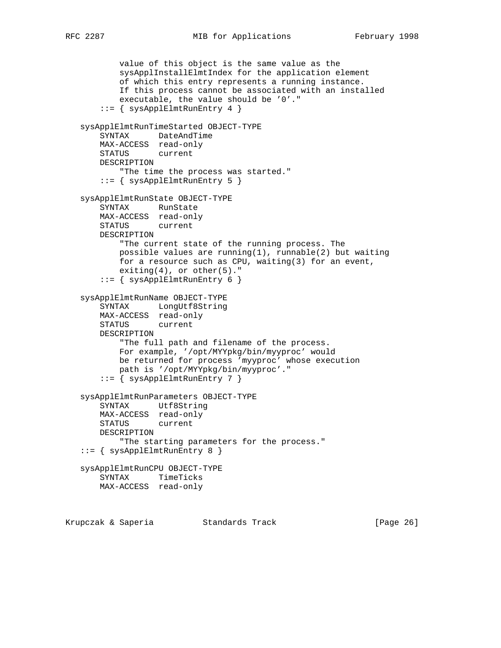```
 value of this object is the same value as the
         sysApplInstallElmtIndex for the application element
        of which this entry represents a running instance.
        If this process cannot be associated with an installed
        executable, the value should be '0'."
     ::= { sysApplElmtRunEntry 4 }
 sysApplElmtRunTimeStarted OBJECT-TYPE
     SYNTAX DateAndTime
    MAX-ACCESS read-only
    STATUS current
    DESCRIPTION
        "The time the process was started."
    ::= { sysApplElmtRunEntry 5 }
 sysApplElmtRunState OBJECT-TYPE
    SYNTAX RunState
    MAX-ACCESS read-only
    STATUS current
    DESCRIPTION
        "The current state of the running process. The
        possible values are running(1), runnable(2) but waiting
        for a resource such as CPU, waiting(3) for an event,
       exting(4), or other(5)."
     ::= { sysApplElmtRunEntry 6 }
 sysApplElmtRunName OBJECT-TYPE
     SYNTAX LongUtf8String
    MAX-ACCESS read-only
    STATUS current
    DESCRIPTION
         "The full path and filename of the process.
        For example, '/opt/MYYpkg/bin/myyproc' would
        be returned for process 'myyproc' whose execution
        path is '/opt/MYYpkg/bin/myyproc'."
     ::= { sysApplElmtRunEntry 7 }
 sysApplElmtRunParameters OBJECT-TYPE
     SYNTAX Utf8String
    MAX-ACCESS read-only
    STATUS current
    DESCRIPTION
        "The starting parameters for the process."
 ::= { sysApplElmtRunEntry 8 }
 sysApplElmtRunCPU OBJECT-TYPE
    SYNTAX TimeTicks
    MAX-ACCESS read-only
```
Krupczak & Saperia Standards Track [Page 26]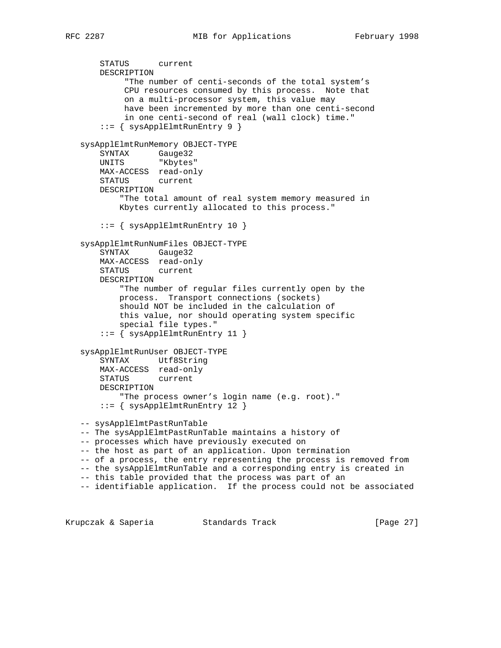```
 STATUS current
       DESCRIPTION
            "The number of centi-seconds of the total system's
            CPU resources consumed by this process. Note that
            on a multi-processor system, this value may
            have been incremented by more than one centi-second
            in one centi-second of real (wall clock) time."
       ::= { sysApplElmtRunEntry 9 }
   sysApplElmtRunMemory OBJECT-TYPE
 SYNTAX Gauge32
 UNITS "Kbytes"
       MAX-ACCESS read-only
       STATUS current
       DESCRIPTION
           "The total amount of real system memory measured in
           Kbytes currently allocated to this process."
       ::= { sysApplElmtRunEntry 10 }
   sysApplElmtRunNumFiles OBJECT-TYPE
       SYNTAX Gauge32
       MAX-ACCESS read-only
       STATUS current
       DESCRIPTION
           "The number of regular files currently open by the
           process. Transport connections (sockets)
           should NOT be included in the calculation of
           this value, nor should operating system specific
           special file types."
       ::= { sysApplElmtRunEntry 11 }
   sysApplElmtRunUser OBJECT-TYPE
       SYNTAX Utf8String
       MAX-ACCESS read-only
       STATUS current
       DESCRIPTION
           "The process owner's login name (e.g. root)."
       ::= { sysApplElmtRunEntry 12 }
   -- sysApplElmtPastRunTable
   -- The sysApplElmtPastRunTable maintains a history of
   -- processes which have previously executed on
   -- the host as part of an application. Upon termination
   -- of a process, the entry representing the process is removed from
   -- the sysApplElmtRunTable and a corresponding entry is created in
   -- this table provided that the process was part of an
   -- identifiable application. If the process could not be associated
```
Krupczak & Saperia Standards Track [Page 27]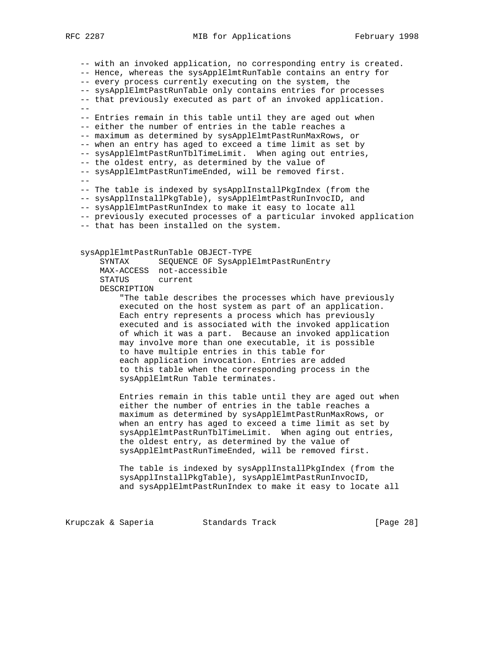-- with an invoked application, no corresponding entry is created. -- Hence, whereas the sysApplElmtRunTable contains an entry for -- every process currently executing on the system, the -- sysApplElmtPastRunTable only contains entries for processes -- that previously executed as part of an invoked application.  $-$  -- Entries remain in this table until they are aged out when -- either the number of entries in the table reaches a -- maximum as determined by sysApplElmtPastRunMaxRows, or -- when an entry has aged to exceed a time limit as set by -- sysApplElmtPastRunTblTimeLimit. When aging out entries, -- the oldest entry, as determined by the value of -- sysApplElmtPastRunTimeEnded, will be removed first. -- -- The table is indexed by sysApplInstallPkgIndex (from the -- sysApplInstallPkgTable), sysApplElmtPastRunInvocID, and -- sysApplElmtPastRunIndex to make it easy to locate all -- previously executed processes of a particular invoked application -- that has been installed on the system. sysApplElmtPastRunTable OBJECT-TYPE SYNTAX SEQUENCE OF SysApplElmtPastRunEntry MAX-ACCESS not-accessible STATUS current DESCRIPTION "The table describes the processes which have previously executed on the host system as part of an application. Each entry represents a process which has previously executed and is associated with the invoked application of which it was a part. Because an invoked application may involve more than one executable, it is possible to have multiple entries in this table for each application invocation. Entries are added to this table when the corresponding process in the sysApplElmtRun Table terminates. Entries remain in this table until they are aged out when either the number of entries in the table reaches a maximum as determined by sysApplElmtPastRunMaxRows, or when an entry has aged to exceed a time limit as set by sysApplElmtPastRunTblTimeLimit. When aging out entries, the oldest entry, as determined by the value of sysApplElmtPastRunTimeEnded, will be removed first.

> The table is indexed by sysApplInstallPkgIndex (from the sysApplInstallPkgTable), sysApplElmtPastRunInvocID, and sysApplElmtPastRunIndex to make it easy to locate all

Krupczak & Saperia Standards Track [Page 28]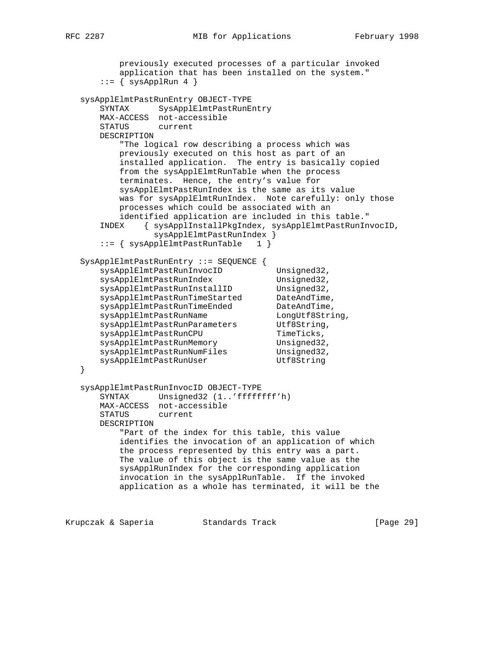```
 previously executed processes of a particular invoked
           application that has been installed on the system."
      ::= { sysApplRun 4 }
   sysApplElmtPastRunEntry OBJECT-TYPE
       SYNTAX SysApplElmtPastRunEntry
       MAX-ACCESS not-accessible
       STATUS current
       DESCRIPTION
           "The logical row describing a process which was
           previously executed on this host as part of an
           installed application. The entry is basically copied
           from the sysApplElmtRunTable when the process
           terminates. Hence, the entry's value for
           sysApplElmtPastRunIndex is the same as its value
           was for sysApplElmtRunIndex. Note carefully: only those
           processes which could be associated with an
           identified application are included in this table."
       INDEX { sysApplInstallPkgIndex, sysApplElmtPastRunInvocID,
                 sysApplElmtPastRunIndex }
       ::= { sysApplElmtPastRunTable 1 }
   SysApplElmtPastRunEntry ::= SEQUENCE {
      sysApplElmtPastRunInvocID Unsigned32,
      sysApplElmtPastRunIndex Unsigned32,
sysApplElmtPastRunInstallID Unsigned32,
 sysApplElmtPastRunTimeStarted DateAndTime,
sysApplElmtPastRunTimeEnded DateAndTime,
sysApplElmtPastRunName LongUtf8String,
sysApplElmtPastRunParameters Utf8String,
sysApplElmtPastRunCPU TimeTicks,
sysApplElmtPastRunMemory Unsigned32,
sysApplElmtPastRunNumFiles Unsigned32,
sysApplElmtPastRunUser Utf8String
   }
   sysApplElmtPastRunInvocID OBJECT-TYPE
       SYNTAX Unsigned32 (1..'ffffffff'h)
       MAX-ACCESS not-accessible
       STATUS current
       DESCRIPTION
           "Part of the index for this table, this value
           identifies the invocation of an application of which
           the process represented by this entry was a part.
           The value of this object is the same value as the
           sysApplRunIndex for the corresponding application
           invocation in the sysApplRunTable. If the invoked
           application as a whole has terminated, it will be the
Krupczak & Saperia               Standards Track                     [Page 29]
```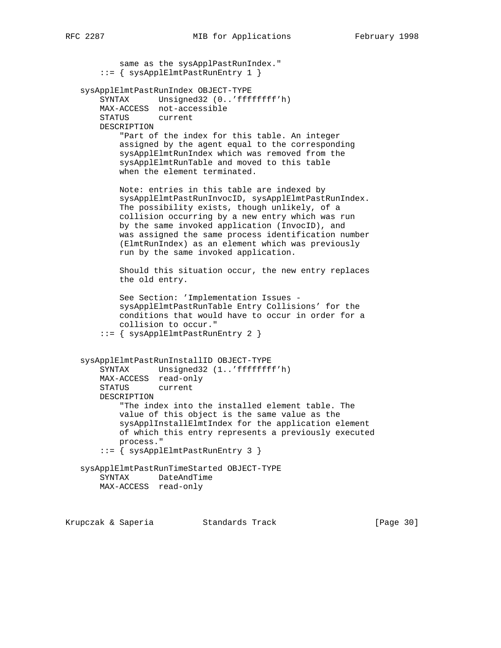same as the sysApplPastRunIndex."  $::=$  { sysApplElmtPastRunEntry 1 } sysApplElmtPastRunIndex OBJECT-TYPE SYNTAX Unsigned32 (0..'ffffffff'h) MAX-ACCESS not-accessible STATUS current DESCRIPTION "Part of the index for this table. An integer assigned by the agent equal to the corresponding sysApplElmtRunIndex which was removed from the sysApplElmtRunTable and moved to this table when the element terminated. Note: entries in this table are indexed by sysApplElmtPastRunInvocID, sysApplElmtPastRunIndex. The possibility exists, though unlikely, of a collision occurring by a new entry which was run by the same invoked application (InvocID), and was assigned the same process identification number (ElmtRunIndex) as an element which was previously run by the same invoked application. Should this situation occur, the new entry replaces the old entry. See Section: 'Implementation Issues sysApplElmtPastRunTable Entry Collisions' for the conditions that would have to occur in order for a collision to occur." ::= { sysApplElmtPastRunEntry 2 } sysApplElmtPastRunInstallID OBJECT-TYPE SYNTAX Unsigned32 (1..'ffffffff'h) MAX-ACCESS read-only STATUS current DESCRIPTION "The index into the installed element table. The value of this object is the same value as the sysApplInstallElmtIndex for the application element of which this entry represents a previously executed process." ::= { sysApplElmtPastRunEntry 3 } sysApplElmtPastRunTimeStarted OBJECT-TYPE SYNTAX DateAndTime MAX-ACCESS read-only

Krupczak & Saperia Standards Track [Page 30]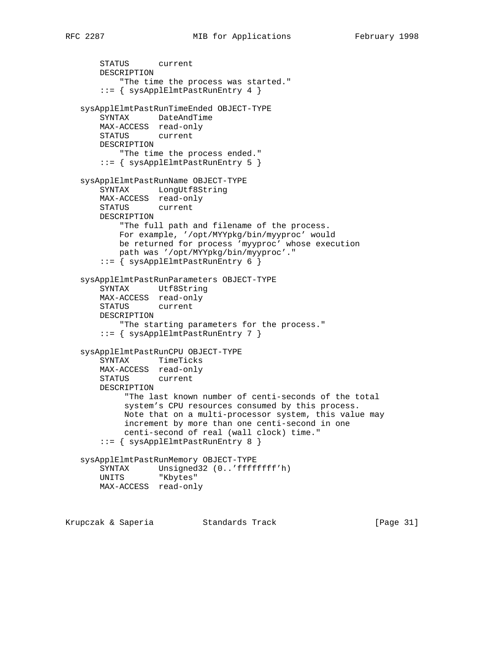```
 STATUS current
    DESCRIPTION
         "The time the process was started."
     ::= { sysApplElmtPastRunEntry 4 }
 sysApplElmtPastRunTimeEnded OBJECT-TYPE
     SYNTAX DateAndTime
    MAX-ACCESS read-only
    STATUS current
    DESCRIPTION
        "The time the process ended."
     ::= { sysApplElmtPastRunEntry 5 }
 sysApplElmtPastRunName OBJECT-TYPE
    SYNTAX LongUtf8String
    MAX-ACCESS read-only
    STATUS current
    DESCRIPTION
         "The full path and filename of the process.
        For example, '/opt/MYYpkg/bin/myyproc' would
        be returned for process 'myyproc' whose execution
        path was '/opt/MYYpkg/bin/myyproc'."
     ::= { sysApplElmtPastRunEntry 6 }
 sysApplElmtPastRunParameters OBJECT-TYPE
     SYNTAX Utf8String
   MAX-ACCESS read-only
    STATUS current
    DESCRIPTION
         "The starting parameters for the process."
     ::= { sysApplElmtPastRunEntry 7 }
 sysApplElmtPastRunCPU OBJECT-TYPE
    SYNTAX TimeTicks
    MAX-ACCESS read-only
    STATUS current
    DESCRIPTION
         "The last known number of centi-seconds of the total
         system's CPU resources consumed by this process.
         Note that on a multi-processor system, this value may
         increment by more than one centi-second in one
         centi-second of real (wall clock) time."
     ::= { sysApplElmtPastRunEntry 8 }
 sysApplElmtPastRunMemory OBJECT-TYPE
    SYNTAX Unsigned32 (0..'ffffffff'h)
    UNITS "Kbytes"
    MAX-ACCESS read-only
```
Krupczak & Saperia Standards Track [Page 31]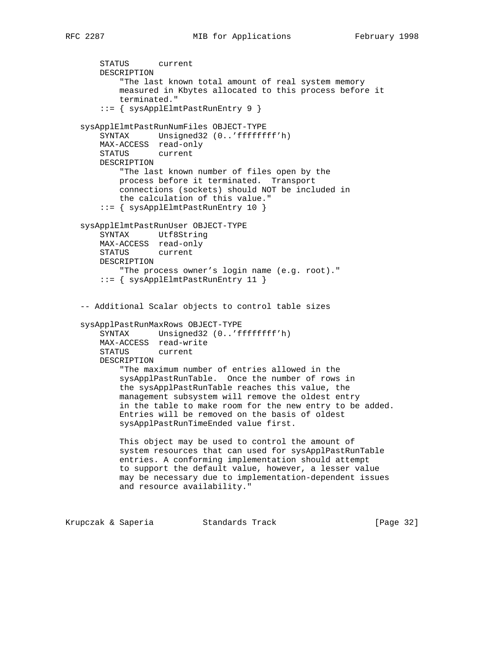```
 STATUS current
    DESCRIPTION
         "The last known total amount of real system memory
        measured in Kbytes allocated to this process before it
        terminated."
     ::= { sysApplElmtPastRunEntry 9 }
 sysApplElmtPastRunNumFiles OBJECT-TYPE
     SYNTAX Unsigned32 (0..'ffffffff'h)
    MAX-ACCESS read-only
    STATUS current
    DESCRIPTION
        "The last known number of files open by the
        process before it terminated. Transport
         connections (sockets) should NOT be included in
        the calculation of this value."
     ::= { sysApplElmtPastRunEntry 10 }
 sysApplElmtPastRunUser OBJECT-TYPE
     SYNTAX Utf8String
    MAX-ACCESS read-only
    STATUS current
    DESCRIPTION
         "The process owner's login name (e.g. root)."
     ::= { sysApplElmtPastRunEntry 11 }
 -- Additional Scalar objects to control table sizes
 sysApplPastRunMaxRows OBJECT-TYPE
     SYNTAX Unsigned32 (0..'ffffffff'h)
    MAX-ACCESS read-write
    STATUS current
    DESCRIPTION
         "The maximum number of entries allowed in the
         sysApplPastRunTable. Once the number of rows in
        the sysApplPastRunTable reaches this value, the
        management subsystem will remove the oldest entry
         in the table to make room for the new entry to be added.
         Entries will be removed on the basis of oldest
        sysApplPastRunTimeEnded value first.
        This object may be used to control the amount of
        system resources that can used for sysApplPastRunTable
        entries. A conforming implementation should attempt
        to support the default value, however, a lesser value
        may be necessary due to implementation-dependent issues
        and resource availability."
```
Krupczak & Saperia Standards Track [Page 32]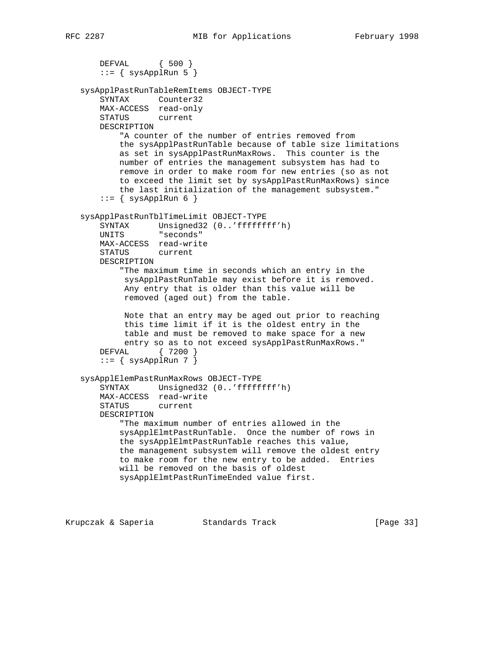```
 DEFVAL { 500 }
    ::= { sysApplRun 5 }
 sysApplPastRunTableRemItems OBJECT-TYPE
     SYNTAX Counter32
    MAX-ACCESS read-only
    STATUS current
    DESCRIPTION
         "A counter of the number of entries removed from
         the sysApplPastRunTable because of table size limitations
        as set in sysApplPastRunMaxRows. This counter is the
        number of entries the management subsystem has had to
        remove in order to make room for new entries (so as not
         to exceed the limit set by sysApplPastRunMaxRows) since
         the last initialization of the management subsystem."
    ::= { sysApplRun 6 }
 sysApplPastRunTblTimeLimit OBJECT-TYPE
    SYNTAX Unsigned32 (0..'ffffffff'h)
    UNITS "seconds"
    MAX-ACCESS read-write
    STATUS current
    DESCRIPTION
         "The maximum time in seconds which an entry in the
         sysApplPastRunTable may exist before it is removed.
         Any entry that is older than this value will be
         removed (aged out) from the table.
         Note that an entry may be aged out prior to reaching
         this time limit if it is the oldest entry in the
         table and must be removed to make space for a new
         entry so as to not exceed sysApplPastRunMaxRows."
     DEFVAL { 7200 }
    ::= { sysApplRun 7 }
 sysApplElemPastRunMaxRows OBJECT-TYPE
    SYNTAX Unsigned32 (0..'ffffffff'h)
    MAX-ACCESS read-write
    STATUS current
    DESCRIPTION
         "The maximum number of entries allowed in the
         sysApplElmtPastRunTable. Once the number of rows in
        the sysApplElmtPastRunTable reaches this value,
        the management subsystem will remove the oldest entry
         to make room for the new entry to be added. Entries
        will be removed on the basis of oldest
        sysApplElmtPastRunTimeEnded value first.
```
Krupczak & Saperia Standards Track [Page 33]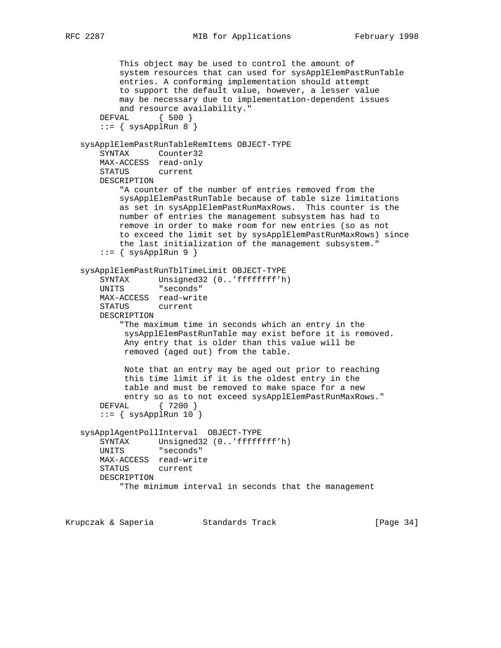```
 This object may be used to control the amount of
           system resources that can used for sysApplElemPastRunTable
           entries. A conforming implementation should attempt
           to support the default value, however, a lesser value
           may be necessary due to implementation-dependent issues
           and resource availability."
       DEFVAL { 500 }
       ::= { sysApplRun 8 }
   sysApplElemPastRunTableRemItems OBJECT-TYPE
       SYNTAX Counter32
       MAX-ACCESS read-only
       STATUS current
       DESCRIPTION
           "A counter of the number of entries removed from the
           sysApplElemPastRunTable because of table size limitations
           as set in sysApplElemPastRunMaxRows. This counter is the
           number of entries the management subsystem has had to
           remove in order to make room for new entries (so as not
           to exceed the limit set by sysApplElemPastRunMaxRows) since
           the last initialization of the management subsystem."
       ::= { sysApplRun 9 }
   sysApplElemPastRunTblTimeLimit OBJECT-TYPE
 SYNTAX Unsigned32 (0..'ffffffff'h)
 UNITS "seconds"
       MAX-ACCESS read-write
       STATUS current
       DESCRIPTION
           "The maximum time in seconds which an entry in the
            sysApplElemPastRunTable may exist before it is removed.
            Any entry that is older than this value will be
            removed (aged out) from the table.
            Note that an entry may be aged out prior to reaching
            this time limit if it is the oldest entry in the
            table and must be removed to make space for a new
           entry so as to not exceed sysApplElemPastRunMaxRows."
       DEFVAL { 7200 }
      ::= { sysApplRun 10 }
   sysApplAgentPollInterval OBJECT-TYPE
       SYNTAX Unsigned32 (0..'ffffffff'h)
       UNITS "seconds"
       MAX-ACCESS read-write
       STATUS current
       DESCRIPTION
           "The minimum interval in seconds that the management
```
Krupczak & Saperia Standards Track [Page 34]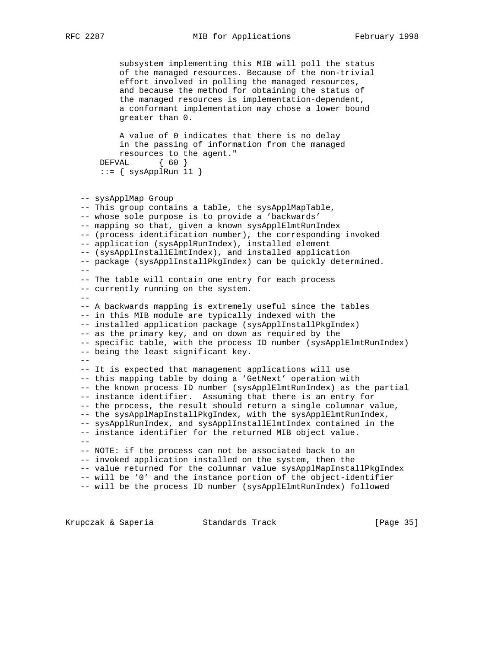subsystem implementing this MIB will poll the status of the managed resources. Because of the non-trivial effort involved in polling the managed resources, and because the method for obtaining the status of the managed resources is implementation-dependent, a conformant implementation may chose a lower bound greater than 0.

 A value of 0 indicates that there is no delay in the passing of information from the managed resources to the agent." DEFVAL { 60 }

```
::= { sysApplRun 11 }
```
 -- sysApplMap Group -- This group contains a table, the sysApplMapTable, -- whose sole purpose is to provide a 'backwards' -- mapping so that, given a known sysApplElmtRunIndex -- (process identification number), the corresponding invoked -- application (sysApplRunIndex), installed element -- (sysApplInstallElmtIndex), and installed application

 -- package (sysApplInstallPkgIndex) can be quickly determined. -- -- The table will contain one entry for each process -- currently running on the system. -- -- A backwards mapping is extremely useful since the tables -- in this MIB module are typically indexed with the -- installed application package (sysApplInstallPkgIndex) -- as the primary key, and on down as required by the -- specific table, with the process ID number (sysApplElmtRunIndex) -- being the least significant key. -- -- It is expected that management applications will use -- this mapping table by doing a 'GetNext' operation with -- the known process ID number (sysApplElmtRunIndex) as the partial -- instance identifier. Assuming that there is an entry for -- the process, the result should return a single columnar value, -- the sysApplMapInstallPkgIndex, with the sysApplElmtRunIndex, -- sysApplRunIndex, and sysApplInstallElmtIndex contained in the -- instance identifier for the returned MIB object value.  $-$  -- NOTE: if the process can not be associated back to an -- invoked application installed on the system, then the -- value returned for the columnar value sysApplMapInstallPkgIndex -- will be '0' and the instance portion of the object-identifier

-- will be the process ID number (sysApplElmtRunIndex) followed

Krupczak & Saperia Standards Track [Page 35]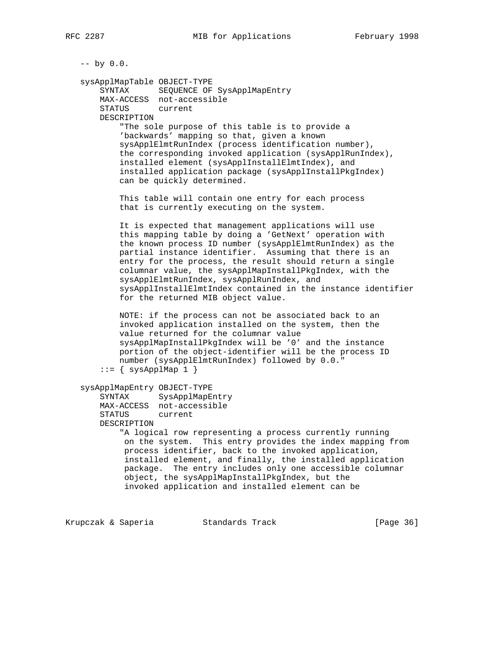$--$  by  $0.0$ .

 sysApplMapTable OBJECT-TYPE SYNTAX SEQUENCE OF SysApplMapEntry MAX-ACCESS not-accessible STATUS current DESCRIPTION

> "The sole purpose of this table is to provide a 'backwards' mapping so that, given a known sysApplElmtRunIndex (process identification number), the corresponding invoked application (sysApplRunIndex), installed element (sysApplInstallElmtIndex), and installed application package (sysApplInstallPkgIndex) can be quickly determined.

 This table will contain one entry for each process that is currently executing on the system.

 It is expected that management applications will use this mapping table by doing a 'GetNext' operation with the known process ID number (sysApplElmtRunIndex) as the partial instance identifier. Assuming that there is an entry for the process, the result should return a single columnar value, the sysApplMapInstallPkgIndex, with the sysApplElmtRunIndex, sysApplRunIndex, and sysApplInstallElmtIndex contained in the instance identifier for the returned MIB object value.

 NOTE: if the process can not be associated back to an invoked application installed on the system, then the value returned for the columnar value sysApplMapInstallPkgIndex will be '0' and the instance portion of the object-identifier will be the process ID number (sysApplElmtRunIndex) followed by 0.0."  $::= \{ sysApplMap 1 \}$ 

```
 sysApplMapEntry OBJECT-TYPE
```
 SYNTAX SysApplMapEntry MAX-ACCESS not-accessible STATUS current DESCRIPTION

> "A logical row representing a process currently running on the system. This entry provides the index mapping from process identifier, back to the invoked application, installed element, and finally, the installed application package. The entry includes only one accessible columnar object, the sysApplMapInstallPkgIndex, but the invoked application and installed element can be

Krupczak & Saperia Standards Track [Page 36]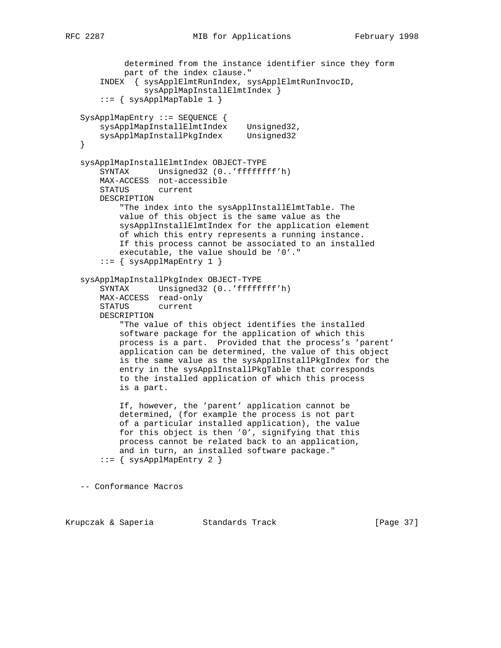```
 determined from the instance identifier since they form
            part of the index clause."
       INDEX { sysApplElmtRunIndex, sysApplElmtRunInvocID,
                sysApplMapInstallElmtIndex }
      ::= { sysApplMapTable 1 }
   SysApplMapEntry ::= SEQUENCE {
 sysApplMapInstallElmtIndex Unsigned32,
 sysApplMapInstallPkgIndex Unsigned32
   }
   sysApplMapInstallElmtIndex OBJECT-TYPE
       SYNTAX Unsigned32 (0..'ffffffff'h)
       MAX-ACCESS not-accessible
       STATUS current
       DESCRIPTION
           "The index into the sysApplInstallElmtTable. The
           value of this object is the same value as the
           sysApplInstallElmtIndex for the application element
           of which this entry represents a running instance.
           If this process cannot be associated to an installed
           executable, the value should be '0'."
      ::= { sysApplMapEntry 1 }
   sysApplMapInstallPkgIndex OBJECT-TYPE
       SYNTAX Unsigned32 (0..'ffffffff'h)
       MAX-ACCESS read-only
       STATUS current
       DESCRIPTION
            "The value of this object identifies the installed
           software package for the application of which this
           process is a part. Provided that the process's 'parent'
           application can be determined, the value of this object
           is the same value as the sysApplInstallPkgIndex for the
           entry in the sysApplInstallPkgTable that corresponds
           to the installed application of which this process
           is a part.
           If, however, the 'parent' application cannot be
           determined, (for example the process is not part
           of a particular installed application), the value
           for this object is then '0', signifying that this
           process cannot be related back to an application,
           and in turn, an installed software package."
      ::= { sysApplMapEntry 2 }
   -- Conformance Macros
```
Krupczak & Saperia Standards Track [Page 37]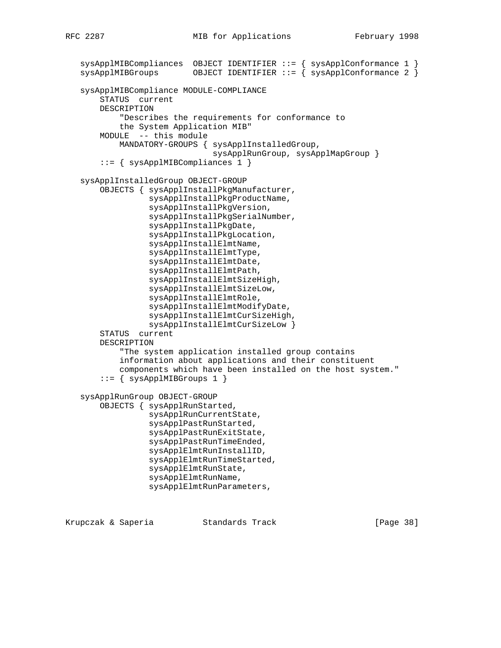```
 sysApplMIBCompliances OBJECT IDENTIFIER ::= { sysApplConformance 1 }
sysApplMIBGroughS OBJECT IDENTIFIER ::= { sysApplConformance 2 }
 sysApplMIBCompliance MODULE-COMPLIANCE
     STATUS current
     DESCRIPTION
         "Describes the requirements for conformance to
         the System Application MIB"
     MODULE -- this module
         MANDATORY-GROUPS { sysApplInstalledGroup,
                             sysApplRunGroup, sysApplMapGroup }
     ::= { sysApplMIBCompliances 1 }
 sysApplInstalledGroup OBJECT-GROUP
     OBJECTS { sysApplInstallPkgManufacturer,
               sysApplInstallPkgProductName,
               sysApplInstallPkgVersion,
               sysApplInstallPkgSerialNumber,
               sysApplInstallPkgDate,
               sysApplInstallPkgLocation,
               sysApplInstallElmtName,
               sysApplInstallElmtType,
               sysApplInstallElmtDate,
               sysApplInstallElmtPath,
               sysApplInstallElmtSizeHigh,
               sysApplInstallElmtSizeLow,
               sysApplInstallElmtRole,
               sysApplInstallElmtModifyDate,
               sysApplInstallElmtCurSizeHigh,
               sysApplInstallElmtCurSizeLow }
     STATUS current
     DESCRIPTION
         "The system application installed group contains
         information about applications and their constituent
         components which have been installed on the host system."
    ::= { sysApplMIBGroups 1 }
 sysApplRunGroup OBJECT-GROUP
     OBJECTS { sysApplRunStarted,
               sysApplRunCurrentState,
               sysApplPastRunStarted,
               sysApplPastRunExitState,
               sysApplPastRunTimeEnded,
               sysApplElmtRunInstallID,
               sysApplElmtRunTimeStarted,
               sysApplElmtRunState,
               sysApplElmtRunName,
               sysApplElmtRunParameters,
```
Krupczak & Saperia Standards Track [Page 38]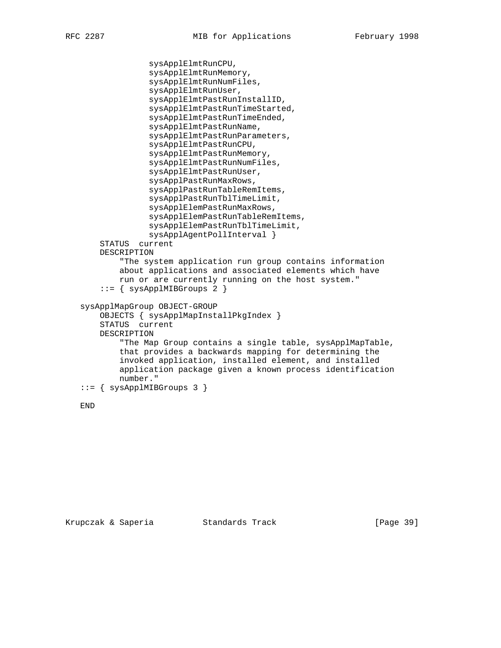```
 sysApplElmtRunCPU,
               sysApplElmtRunMemory,
               sysApplElmtRunNumFiles,
               sysApplElmtRunUser,
               sysApplElmtPastRunInstallID,
               sysApplElmtPastRunTimeStarted,
               sysApplElmtPastRunTimeEnded,
               sysApplElmtPastRunName,
               sysApplElmtPastRunParameters,
               sysApplElmtPastRunCPU,
               sysApplElmtPastRunMemory,
               sysApplElmtPastRunNumFiles,
               sysApplElmtPastRunUser,
               sysApplPastRunMaxRows,
               sysApplPastRunTableRemItems,
               sysApplPastRunTblTimeLimit,
               sysApplElemPastRunMaxRows,
               sysApplElemPastRunTableRemItems,
               sysApplElemPastRunTblTimeLimit,
               sysApplAgentPollInterval }
     STATUS current
     DESCRIPTION
         "The system application run group contains information
         about applications and associated elements which have
         run or are currently running on the host system."
    ::= { sysApplMIBGroups 2 }
 sysApplMapGroup OBJECT-GROUP
     OBJECTS { sysApplMapInstallPkgIndex }
     STATUS current
     DESCRIPTION
         "The Map Group contains a single table, sysApplMapTable,
         that provides a backwards mapping for determining the
         invoked application, installed element, and installed
         application package given a known process identification
         number."
 ::= { sysApplMIBGroups 3 }
```

```
 END
```
Krupczak & Saperia Standards Track [Page 39]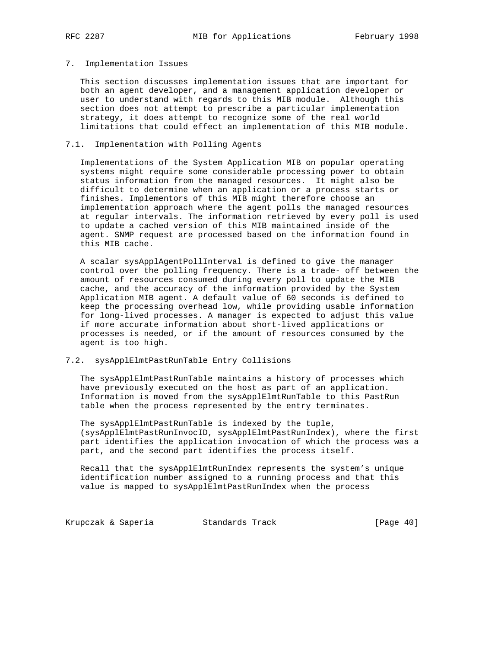#### 7. Implementation Issues

 This section discusses implementation issues that are important for both an agent developer, and a management application developer or user to understand with regards to this MIB module. Although this section does not attempt to prescribe a particular implementation strategy, it does attempt to recognize some of the real world limitations that could effect an implementation of this MIB module.

## 7.1. Implementation with Polling Agents

 Implementations of the System Application MIB on popular operating systems might require some considerable processing power to obtain status information from the managed resources. It might also be difficult to determine when an application or a process starts or finishes. Implementors of this MIB might therefore choose an implementation approach where the agent polls the managed resources at regular intervals. The information retrieved by every poll is used to update a cached version of this MIB maintained inside of the agent. SNMP request are processed based on the information found in this MIB cache.

 A scalar sysApplAgentPollInterval is defined to give the manager control over the polling frequency. There is a trade- off between the amount of resources consumed during every poll to update the MIB cache, and the accuracy of the information provided by the System Application MIB agent. A default value of 60 seconds is defined to keep the processing overhead low, while providing usable information for long-lived processes. A manager is expected to adjust this value if more accurate information about short-lived applications or processes is needed, or if the amount of resources consumed by the agent is too high.

# 7.2. sysApplElmtPastRunTable Entry Collisions

 The sysApplElmtPastRunTable maintains a history of processes which have previously executed on the host as part of an application. Information is moved from the sysApplElmtRunTable to this PastRun table when the process represented by the entry terminates.

 The sysApplElmtPastRunTable is indexed by the tuple, (sysApplElmtPastRunInvocID, sysApplElmtPastRunIndex), where the first part identifies the application invocation of which the process was a part, and the second part identifies the process itself.

 Recall that the sysApplElmtRunIndex represents the system's unique identification number assigned to a running process and that this value is mapped to sysApplElmtPastRunIndex when the process

Krupczak & Saperia Standards Track (Page 40)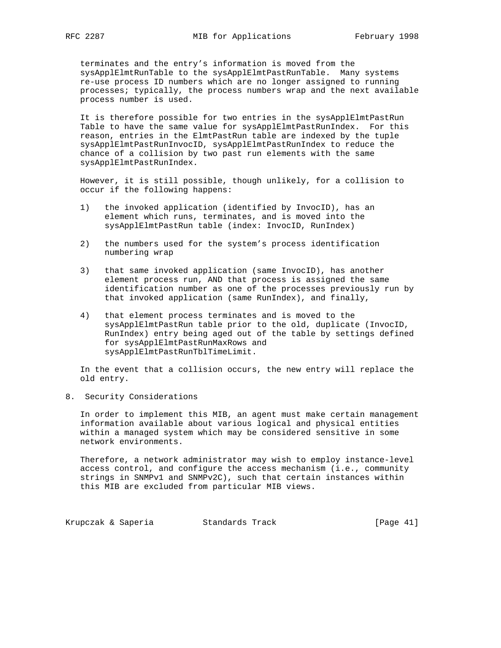terminates and the entry's information is moved from the sysApplElmtRunTable to the sysApplElmtPastRunTable. Many systems re-use process ID numbers which are no longer assigned to running processes; typically, the process numbers wrap and the next available process number is used.

 It is therefore possible for two entries in the sysApplElmtPastRun Table to have the same value for sysApplElmtPastRunIndex. For this reason, entries in the ElmtPastRun table are indexed by the tuple sysApplElmtPastRunInvocID, sysApplElmtPastRunIndex to reduce the chance of a collision by two past run elements with the same sysApplElmtPastRunIndex.

 However, it is still possible, though unlikely, for a collision to occur if the following happens:

- 1) the invoked application (identified by InvocID), has an element which runs, terminates, and is moved into the sysApplElmtPastRun table (index: InvocID, RunIndex)
- 2) the numbers used for the system's process identification numbering wrap
- 3) that same invoked application (same InvocID), has another element process run, AND that process is assigned the same identification number as one of the processes previously run by that invoked application (same RunIndex), and finally,
- 4) that element process terminates and is moved to the sysApplElmtPastRun table prior to the old, duplicate (InvocID, RunIndex) entry being aged out of the table by settings defined for sysApplElmtPastRunMaxRows and sysApplElmtPastRunTblTimeLimit.

 In the event that a collision occurs, the new entry will replace the old entry.

8. Security Considerations

 In order to implement this MIB, an agent must make certain management information available about various logical and physical entities within a managed system which may be considered sensitive in some network environments.

 Therefore, a network administrator may wish to employ instance-level access control, and configure the access mechanism (i.e., community strings in SNMPv1 and SNMPv2C), such that certain instances within this MIB are excluded from particular MIB views.

Krupczak & Saperia Standards Track [Page 41]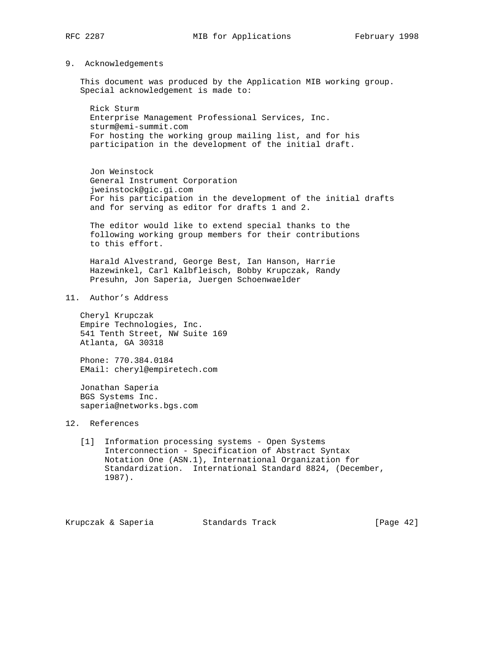9. Acknowledgements

 This document was produced by the Application MIB working group. Special acknowledgement is made to:

 Rick Sturm Enterprise Management Professional Services, Inc. sturm@emi-summit.com For hosting the working group mailing list, and for his participation in the development of the initial draft.

 Jon Weinstock General Instrument Corporation jweinstock@gic.gi.com For his participation in the development of the initial drafts and for serving as editor for drafts 1 and 2.

 The editor would like to extend special thanks to the following working group members for their contributions to this effort.

 Harald Alvestrand, George Best, Ian Hanson, Harrie Hazewinkel, Carl Kalbfleisch, Bobby Krupczak, Randy Presuhn, Jon Saperia, Juergen Schoenwaelder

11. Author's Address

 Cheryl Krupczak Empire Technologies, Inc. 541 Tenth Street, NW Suite 169 Atlanta, GA 30318

 Phone: 770.384.0184 EMail: cheryl@empiretech.com

 Jonathan Saperia BGS Systems Inc. saperia@networks.bgs.com

# 12. References

 [1] Information processing systems - Open Systems Interconnection - Specification of Abstract Syntax Notation One (ASN.1), International Organization for Standardization. International Standard 8824, (December, 1987).

Krupczak & Saperia Standards Track [Page 42]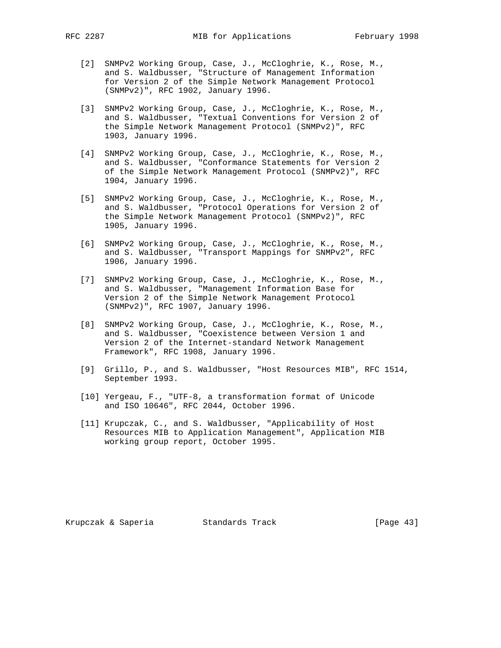- [2] SNMPv2 Working Group, Case, J., McCloghrie, K., Rose, M., and S. Waldbusser, "Structure of Management Information for Version 2 of the Simple Network Management Protocol (SNMPv2)", RFC 1902, January 1996.
- [3] SNMPv2 Working Group, Case, J., McCloghrie, K., Rose, M., and S. Waldbusser, "Textual Conventions for Version 2 of the Simple Network Management Protocol (SNMPv2)", RFC 1903, January 1996.
- [4] SNMPv2 Working Group, Case, J., McCloghrie, K., Rose, M., and S. Waldbusser, "Conformance Statements for Version 2 of the Simple Network Management Protocol (SNMPv2)", RFC 1904, January 1996.
- [5] SNMPv2 Working Group, Case, J., McCloghrie, K., Rose, M., and S. Waldbusser, "Protocol Operations for Version 2 of the Simple Network Management Protocol (SNMPv2)", RFC 1905, January 1996.
- [6] SNMPv2 Working Group, Case, J., McCloghrie, K., Rose, M., and S. Waldbusser, "Transport Mappings for SNMPv2", RFC 1906, January 1996.
- [7] SNMPv2 Working Group, Case, J., McCloghrie, K., Rose, M., and S. Waldbusser, "Management Information Base for Version 2 of the Simple Network Management Protocol (SNMPv2)", RFC 1907, January 1996.
- [8] SNMPv2 Working Group, Case, J., McCloghrie, K., Rose, M., and S. Waldbusser, "Coexistence between Version 1 and Version 2 of the Internet-standard Network Management Framework", RFC 1908, January 1996.
- [9] Grillo, P., and S. Waldbusser, "Host Resources MIB", RFC 1514, September 1993.
- [10] Yergeau, F., "UTF-8, a transformation format of Unicode and ISO 10646", RFC 2044, October 1996.
- [11] Krupczak, C., and S. Waldbusser, "Applicability of Host Resources MIB to Application Management", Application MIB working group report, October 1995.